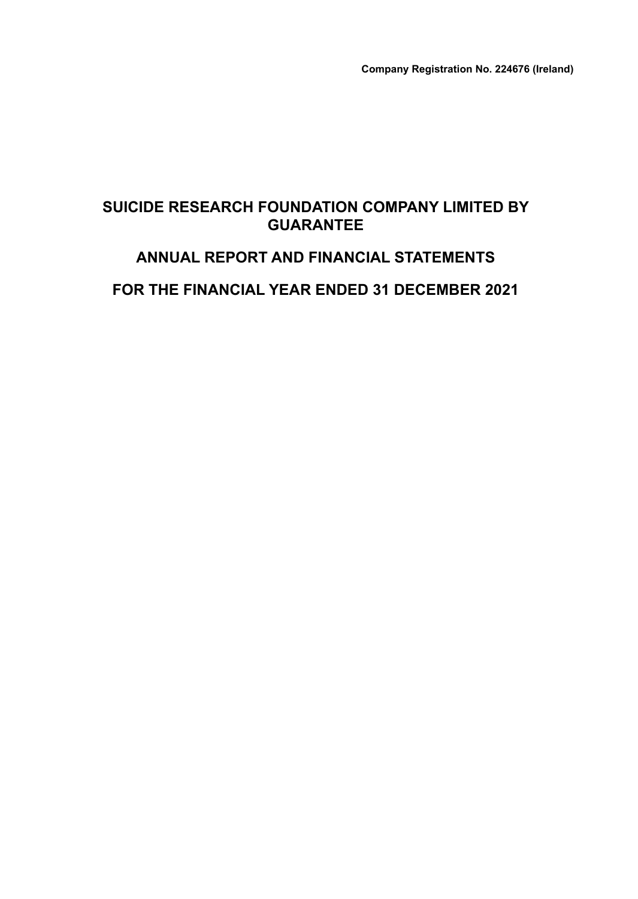**Company Registration No. 224676 (Ireland)**

# **SUICIDE RESEARCH FOUNDATION COMPANY LIMITED BY GUARANTEE**

# **ANNUAL REPORT AND FINANCIAL STATEMENTS**

## **FOR THE FINANCIAL YEAR ENDED 31 DECEMBER 2021**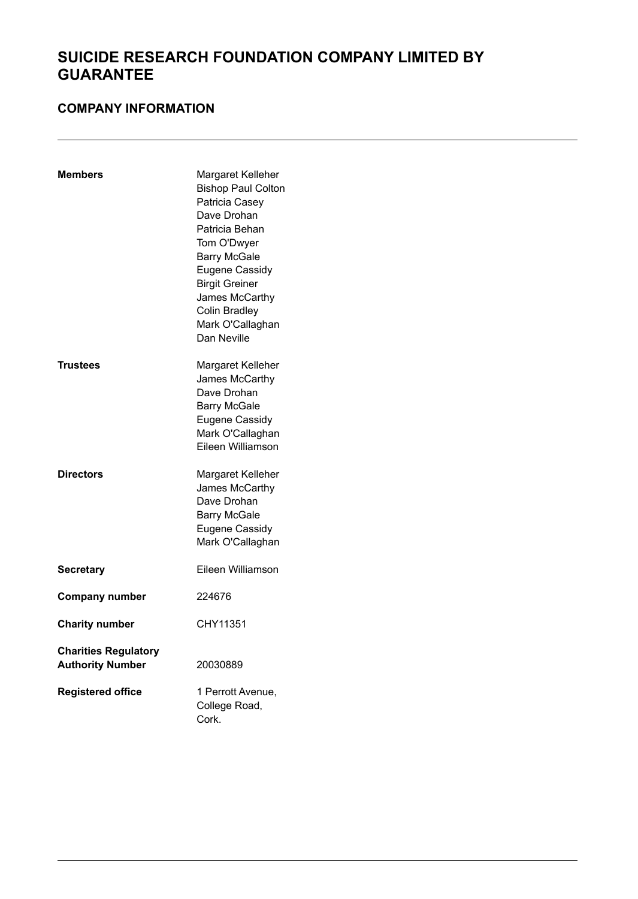## **COMPANY INFORMATION**

| <b>Members</b>                                         | Margaret Kelleher<br><b>Bishop Paul Colton</b><br>Patricia Casey<br>Dave Drohan<br>Patricia Behan<br>Tom O'Dwyer<br><b>Barry McGale</b><br>Eugene Cassidy<br><b>Birgit Greiner</b><br>James McCarthy<br><b>Colin Bradley</b><br>Mark O'Callaghan<br>Dan Neville |
|--------------------------------------------------------|-----------------------------------------------------------------------------------------------------------------------------------------------------------------------------------------------------------------------------------------------------------------|
| <b>Trustees</b>                                        | Margaret Kelleher<br>James McCarthy<br>Dave Drohan<br><b>Barry McGale</b><br>Eugene Cassidy<br>Mark O'Callaghan<br>Eileen Williamson                                                                                                                            |
| <b>Directors</b>                                       | Margaret Kelleher<br>James McCarthy<br>Dave Drohan<br><b>Barry McGale</b><br><b>Eugene Cassidy</b><br>Mark O'Callaghan                                                                                                                                          |
| <b>Secretary</b>                                       | Eileen Williamson                                                                                                                                                                                                                                               |
| <b>Company number</b>                                  | 224676                                                                                                                                                                                                                                                          |
| <b>Charity number</b>                                  | CHY11351                                                                                                                                                                                                                                                        |
| <b>Charities Regulatory</b><br><b>Authority Number</b> | 20030889                                                                                                                                                                                                                                                        |
| <b>Registered office</b>                               | 1 Perrott Avenue,<br>College Road,<br>Cork.                                                                                                                                                                                                                     |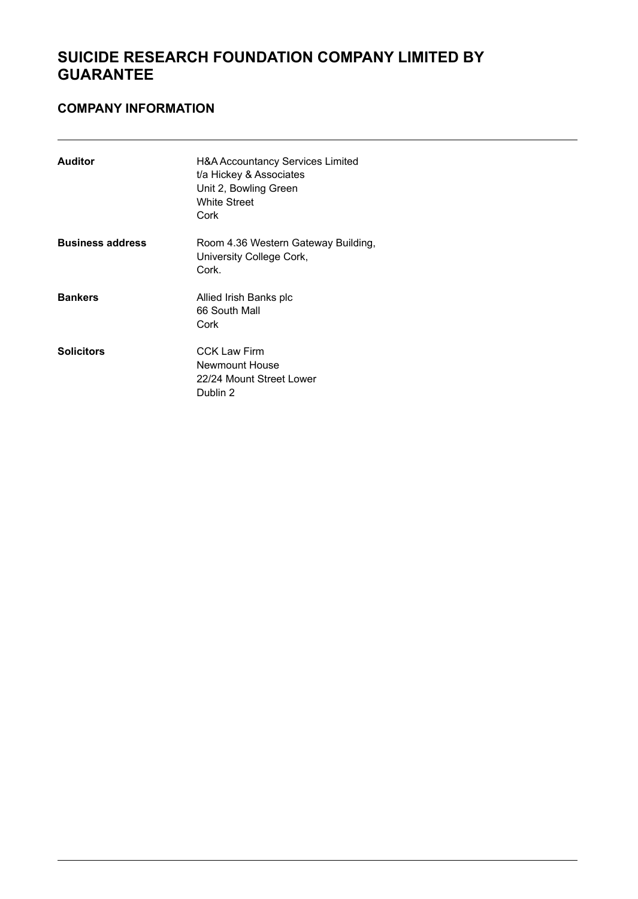## **COMPANY INFORMATION**

| Auditor                 | <b>H&amp;A Accountancy Services Limited</b><br>t/a Hickey & Associates<br>Unit 2, Bowling Green<br><b>White Street</b><br>Cork |
|-------------------------|--------------------------------------------------------------------------------------------------------------------------------|
| <b>Business address</b> | Room 4.36 Western Gateway Building,<br>University College Cork,<br>Cork.                                                       |
| <b>Bankers</b>          | Allied Irish Banks plc<br>66 South Mall<br>Cork                                                                                |
| <b>Solicitors</b>       | <b>CCK Law Firm</b><br>Newmount House<br>22/24 Mount Street Lower<br>Dublin 2                                                  |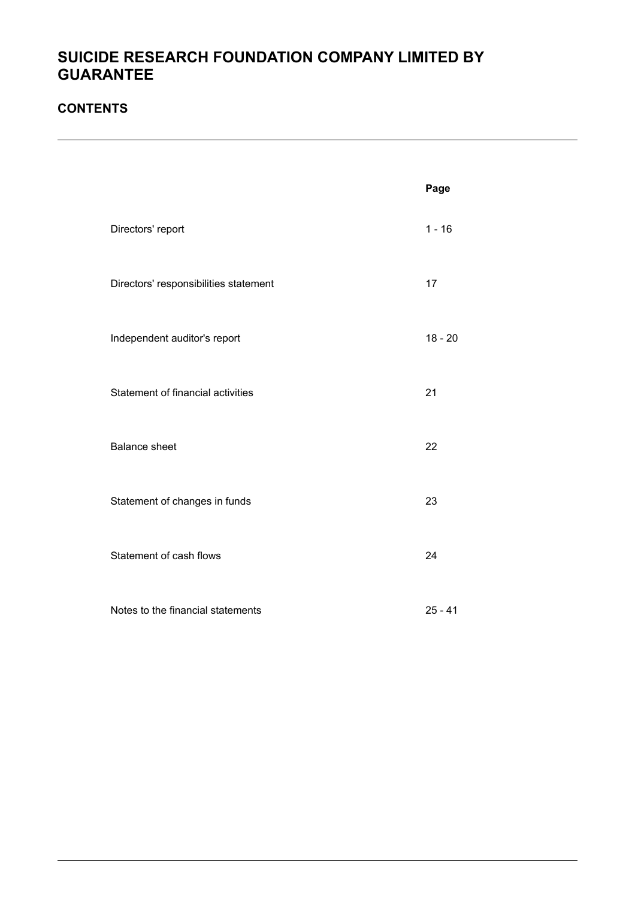## **CONTENTS**

|                                       | Page      |
|---------------------------------------|-----------|
| Directors' report                     | $1 - 16$  |
| Directors' responsibilities statement | 17        |
| Independent auditor's report          | $18 - 20$ |
| Statement of financial activities     | 21        |
| <b>Balance sheet</b>                  | 22        |
| Statement of changes in funds         | 23        |
| Statement of cash flows               | 24        |
| Notes to the financial statements     | $25 - 41$ |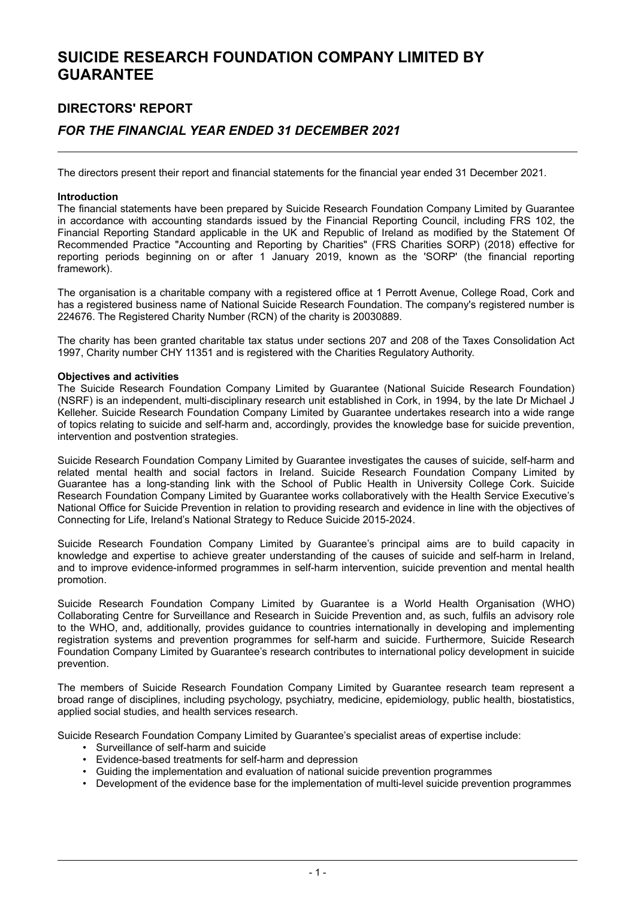## **DIRECTORS' REPORT** *FOR THE FINANCIAL YEAR ENDED 31 DECEMBER 2021*

The directors present their report and financial statements for the financial year ended 31 December 2021.

### **Introduction**

The financial statements have been prepared by Suicide Research Foundation Company Limited by Guarantee in accordance with accounting standards issued by the Financial Reporting Council, including FRS 102, the Financial Reporting Standard applicable in the UK and Republic of Ireland as modified by the Statement Of Recommended Practice "Accounting and Reporting by Charities" (FRS Charities SORP) (2018) effective for reporting periods beginning on or after 1 January 2019, known as the 'SORP' (the financial reporting framework).

The organisation is a charitable company with a registered office at 1 Perrott Avenue, College Road, Cork and has a registered business name of National Suicide Research Foundation. The company's registered number is 224676. The Registered Charity Number (RCN) of the charity is 20030889.

The charity has been granted charitable tax status under sections 207 and 208 of the Taxes Consolidation Act 1997, Charity number CHY 11351 and is registered with the Charities Regulatory Authority.

### **Objectives and activities**

The Suicide Research Foundation Company Limited by Guarantee (National Suicide Research Foundation) (NSRF) is an independent, multi-disciplinary research unit established in Cork, in 1994, by the late Dr Michael J Kelleher. Suicide Research Foundation Company Limited by Guarantee undertakes research into a wide range of topics relating to suicide and self-harm and, accordingly, provides the knowledge base for suicide prevention, intervention and postvention strategies.

Suicide Research Foundation Company Limited by Guarantee investigates the causes of suicide, self-harm and related mental health and social factors in Ireland. Suicide Research Foundation Company Limited by Guarantee has a long-standing link with the School of Public Health in University College Cork. Suicide Research Foundation Company Limited by Guarantee works collaboratively with the Health Service Executive's National Office for Suicide Prevention in relation to providing research and evidence in line with the objectives of Connecting for Life, Ireland's National Strategy to Reduce Suicide 2015-2024.

Suicide Research Foundation Company Limited by Guarantee's principal aims are to build capacity in knowledge and expertise to achieve greater understanding of the causes of suicide and self-harm in Ireland, and to improve evidence-informed programmes in self-harm intervention, suicide prevention and mental health promotion.

Suicide Research Foundation Company Limited by Guarantee is a World Health Organisation (WHO) Collaborating Centre for Surveillance and Research in Suicide Prevention and, as such, fulfils an advisory role to the WHO, and, additionally, provides guidance to countries internationally in developing and implementing registration systems and prevention programmes for self-harm and suicide. Furthermore, Suicide Research Foundation Company Limited by Guarantee's research contributes to international policy development in suicide prevention.

The members of Suicide Research Foundation Company Limited by Guarantee research team represent a broad range of disciplines, including psychology, psychiatry, medicine, epidemiology, public health, biostatistics, applied social studies, and health services research.

Suicide Research Foundation Company Limited by Guarantee's specialist areas of expertise include:

- Surveillance of self-harm and suicide
- Evidence-based treatments for self-harm and depression
- Guiding the implementation and evaluation of national suicide prevention programmes
- Development of the evidence base for the implementation of multi-level suicide prevention programmes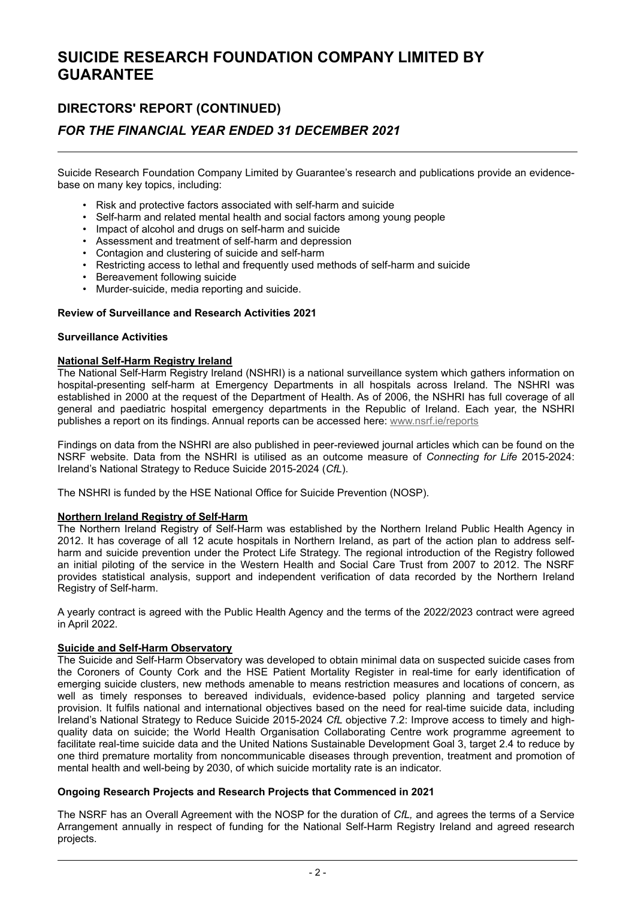## **DIRECTORS' REPORT (CONTINUED)**

## *FOR THE FINANCIAL YEAR ENDED 31 DECEMBER 2021*

Suicide Research Foundation Company Limited by Guarantee's research and publications provide an evidencebase on many key topics, including:

- Risk and protective factors associated with self-harm and suicide
- Self-harm and related mental health and social factors among young people
- Impact of alcohol and drugs on self-harm and suicide
- Assessment and treatment of self-harm and depression
- Contagion and clustering of suicide and self-harm
- Restricting access to lethal and frequently used methods of self-harm and suicide
- Bereavement following suicide
- Murder-suicide, media reporting and suicide.

### **Review of Surveillance and Research Activities 2021**

### **Surveillance Activities**

### **National Self-Harm Registry Ireland**

The National Self-Harm Registry Ireland (NSHRI) is a national surveillance system which gathers information on hospital-presenting self-harm at Emergency Departments in all hospitals across Ireland. The NSHRI was established in 2000 at the request of the Department of Health. As of 2006, the NSHRI has full coverage of all general and paediatric hospital emergency departments in the Republic of Ireland. Each year, the NSHRI publishes a report on its findings. Annual reports can be accessed here: www.nsrf.ie/reports

Findings on data from the NSHRI are also published in peer-reviewed journal articles which can be found on the NSRF website. Data from the NSHRI is utilised as an outcome measure of *Connecting for Life* 2015-2024: Ireland's National Strategy to Reduce Suicide 2015-2024 (*CfL*).

The NSHRI is funded by the HSE National Office for Suicide Prevention (NOSP).

### **Northern Ireland Registry of Self-Harm**

The Northern Ireland Registry of Self-Harm was established by the Northern Ireland Public Health Agency in 2012. It has coverage of all 12 acute hospitals in Northern Ireland, as part of the action plan to address selfharm and suicide prevention under the Protect Life Strategy. The regional introduction of the Registry followed an initial piloting of the service in the Western Health and Social Care Trust from 2007 to 2012. The NSRF provides statistical analysis, support and independent verification of data recorded by the Northern Ireland Registry of Self-harm.

A yearly contract is agreed with the Public Health Agency and the terms of the 2022/2023 contract were agreed in April 2022.

### **Suicide and Self-Harm Observatory**

The Suicide and Self-Harm Observatory was developed to obtain minimal data on suspected suicide cases from the Coroners of County Cork and the HSE Patient Mortality Register in real-time for early identification of emerging suicide clusters, new methods amenable to means restriction measures and locations of concern, as well as timely responses to bereaved individuals, evidence-based policy planning and targeted service provision. It fulfils national and international objectives based on the need for real-time suicide data, including Ireland's National Strategy to Reduce Suicide 2015-2024 *CfL* objective 7.2: Improve access to timely and highquality data on suicide; the World Health Organisation Collaborating Centre work programme agreement to facilitate real-time suicide data and the United Nations Sustainable Development Goal 3, target 2.4 to reduce by one third premature mortality from noncommunicable diseases through prevention, treatment and promotion of mental health and well-being by 2030, of which suicide mortality rate is an indicator.

### **Ongoing Research Projects and Research Projects that Commenced in 2021**

The NSRF has an Overall Agreement with the NOSP for the duration of *CfL,* and agrees the terms of a Service Arrangement annually in respect of funding for the National Self-Harm Registry Ireland and agreed research projects.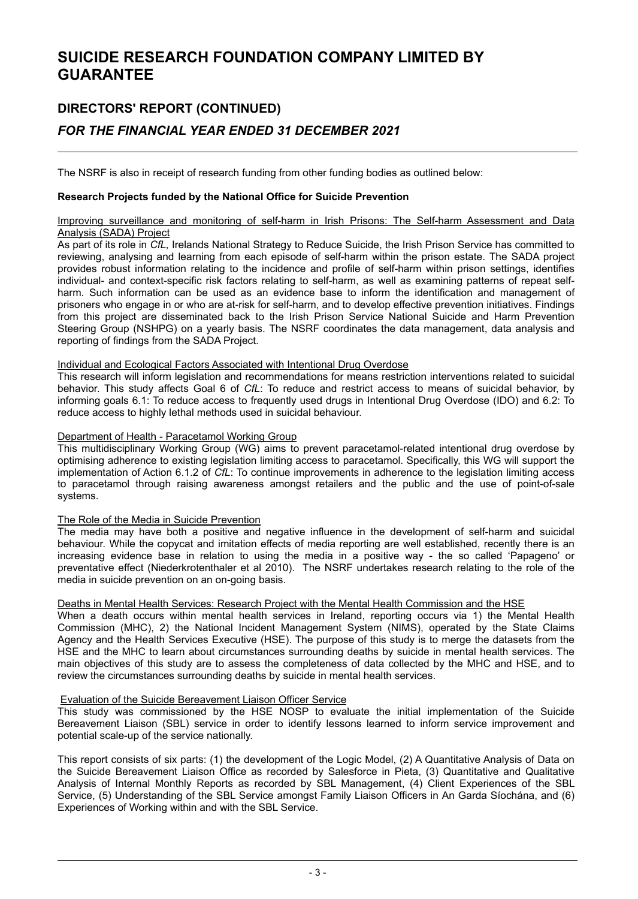## **DIRECTORS' REPORT (CONTINUED)** *FOR THE FINANCIAL YEAR ENDED 31 DECEMBER 2021*

The NSRF is also in receipt of research funding from other funding bodies as outlined below:

### **Research Projects funded by the National Office for Suicide Prevention**

#### Improving surveillance and monitoring of self-harm in Irish Prisons: The Self-harm Assessment and Data Analysis (SADA) Project

As part of its role in *CfL,* Irelands National Strategy to Reduce Suicide, the Irish Prison Service has committed to reviewing, analysing and learning from each episode of self-harm within the prison estate. The SADA project provides robust information relating to the incidence and profile of self-harm within prison settings, identifies individual- and context-specific risk factors relating to self-harm, as well as examining patterns of repeat selfharm. Such information can be used as an evidence base to inform the identification and management of prisoners who engage in or who are at-risk for self-harm, and to develop effective prevention initiatives. Findings from this project are disseminated back to the Irish Prison Service National Suicide and Harm Prevention Steering Group (NSHPG) on a yearly basis. The NSRF coordinates the data management, data analysis and reporting of findings from the SADA Project.

### Individual and Ecological Factors Associated with Intentional Drug Overdose

This research will inform legislation and recommendations for means restriction interventions related to suicidal behavior. This study affects Goal 6 of *CfL*: To reduce and restrict access to means of suicidal behavior, by informing goals 6.1: To reduce access to frequently used drugs in Intentional Drug Overdose (IDO) and 6.2: To reduce access to highly lethal methods used in suicidal behaviour.

### Department of Health - Paracetamol Working Group

This multidisciplinary Working Group (WG) aims to prevent paracetamol-related intentional drug overdose by optimising adherence to existing legislation limiting access to paracetamol. Specifically, this WG will support the implementation of Action 6.1.2 of *CfL*: To continue improvements in adherence to the legislation limiting access to paracetamol through raising awareness amongst retailers and the public and the use of point-of-sale systems.

### The Role of the Media in Suicide Prevention

The media may have both a positive and negative influence in the development of self-harm and suicidal behaviour. While the copycat and imitation effects of media reporting are well established, recently there is an increasing evidence base in relation to using the media in a positive way - the so called 'Papageno' or preventative effect (Niederkrotenthaler et al 2010). The NSRF undertakes research relating to the role of the media in suicide prevention on an on-going basis.

### Deaths in Mental Health Services: Research Project with the Mental Health Commission and the HSE

When a death occurs within mental health services in Ireland, reporting occurs via 1) the Mental Health Commission (MHC), 2) the National Incident Management System (NIMS), operated by the State Claims Agency and the Health Services Executive (HSE). The purpose of this study is to merge the datasets from the HSE and the MHC to learn about circumstances surrounding deaths by suicide in mental health services. The main objectives of this study are to assess the completeness of data collected by the MHC and HSE, and to review the circumstances surrounding deaths by suicide in mental health services.

### Evaluation of the Suicide Bereavement Liaison Officer Service

This study was commissioned by the HSE NOSP to evaluate the initial implementation of the Suicide Bereavement Liaison (SBL) service in order to identify lessons learned to inform service improvement and potential scale-up of the service nationally.

This report consists of six parts: (1) the development of the Logic Model, (2) A Quantitative Analysis of Data on the Suicide Bereavement Liaison Office as recorded by Salesforce in Pieta, (3) Quantitative and Qualitative Analysis of Internal Monthly Reports as recorded by SBL Management, (4) Client Experiences of the SBL Service, (5) Understanding of the SBL Service amongst Family Liaison Officers in An Garda Síochána, and (6) Experiences of Working within and with the SBL Service.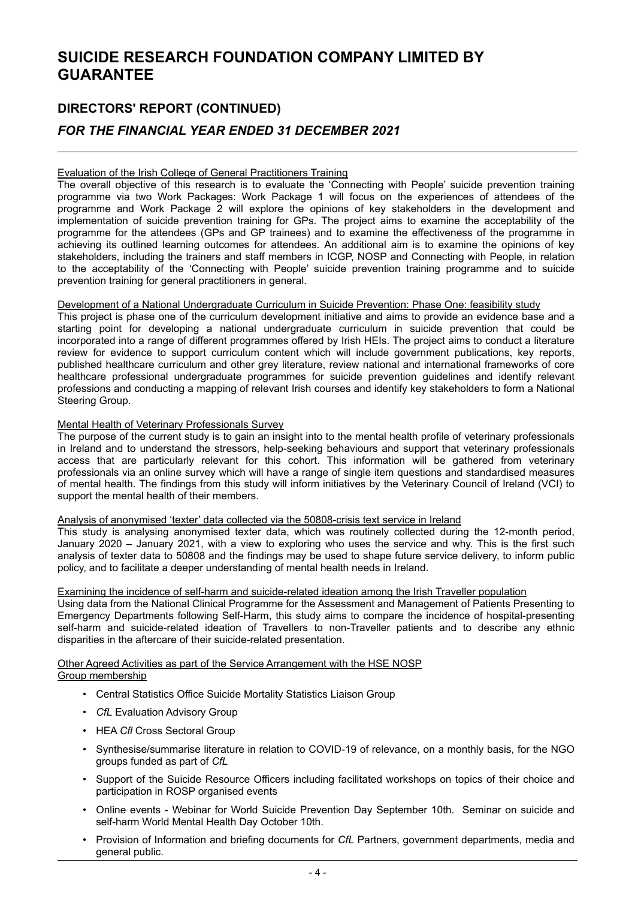# **DIRECTORS' REPORT (CONTINUED)** *FOR THE FINANCIAL YEAR ENDED 31 DECEMBER 2021*

### Evaluation of the Irish College of General Practitioners Training

The overall objective of this research is to evaluate the 'Connecting with People' suicide prevention training programme via two Work Packages: Work Package 1 will focus on the experiences of attendees of the programme and Work Package 2 will explore the opinions of key stakeholders in the development and implementation of suicide prevention training for GPs. The project aims to examine the acceptability of the programme for the attendees (GPs and GP trainees) and to examine the effectiveness of the programme in achieving its outlined learning outcomes for attendees. An additional aim is to examine the opinions of key stakeholders, including the trainers and staff members in ICGP, NOSP and Connecting with People, in relation to the acceptability of the 'Connecting with People' suicide prevention training programme and to suicide prevention training for general practitioners in general.

### Development of a National Undergraduate Curriculum in Suicide Prevention: Phase One: feasibility study

This project is phase one of the curriculum development initiative and aims to provide an evidence base and a starting point for developing a national undergraduate curriculum in suicide prevention that could be incorporated into a range of different programmes offered by Irish HEIs. The project aims to conduct a literature review for evidence to support curriculum content which will include government publications, key reports, published healthcare curriculum and other grey literature, review national and international frameworks of core healthcare professional undergraduate programmes for suicide prevention guidelines and identify relevant professions and conducting a mapping of relevant Irish courses and identify key stakeholders to form a National Steering Group.

### Mental Health of Veterinary Professionals Survey

The purpose of the current study is to gain an insight into to the mental health profile of veterinary professionals in Ireland and to understand the stressors, help-seeking behaviours and support that veterinary professionals access that are particularly relevant for this cohort. This information will be gathered from veterinary professionals via an online survey which will have a range of single item questions and standardised measures of mental health. The findings from this study will inform initiatives by the Veterinary Council of Ireland (VCI) to support the mental health of their members.

### Analysis of anonymised 'texter' data collected via the 50808-crisis text service in Ireland

This study is analysing anonymised texter data, which was routinely collected during the 12-month period, January 2020 – January 2021, with a view to exploring who uses the service and why. This is the first such analysis of texter data to 50808 and the findings may be used to shape future service delivery, to inform public policy, and to facilitate a deeper understanding of mental health needs in Ireland.

### Examining the incidence of self-harm and suicide-related ideation among the Irish Traveller population

Using data from the National Clinical Programme for the Assessment and Management of Patients Presenting to Emergency Departments following Self-Harm, this study aims to compare the incidence of hospital-presenting self-harm and suicide-related ideation of Travellers to non-Traveller patients and to describe any ethnic disparities in the aftercare of their suicide-related presentation.

#### Other Agreed Activities as part of the Service Arrangement with the HSE NOSP Group membership

- Central Statistics Office Suicide Mortality Statistics Liaison Group
- *• CfL* Evaluation Advisory Group
- HEA *Cfl* Cross Sectoral Group
- Synthesise/summarise literature in relation to COVID-19 of relevance, on a monthly basis, for the NGO groups funded as part of *CfL*
- Support of the Suicide Resource Officers including facilitated workshops on topics of their choice and participation in ROSP organised events
- Online events Webinar for World Suicide Prevention Day September 10th. Seminar on suicide and self-harm World Mental Health Day October 10th.
- Provision of Information and briefing documents for *CfL* Partners, government departments, media and general public.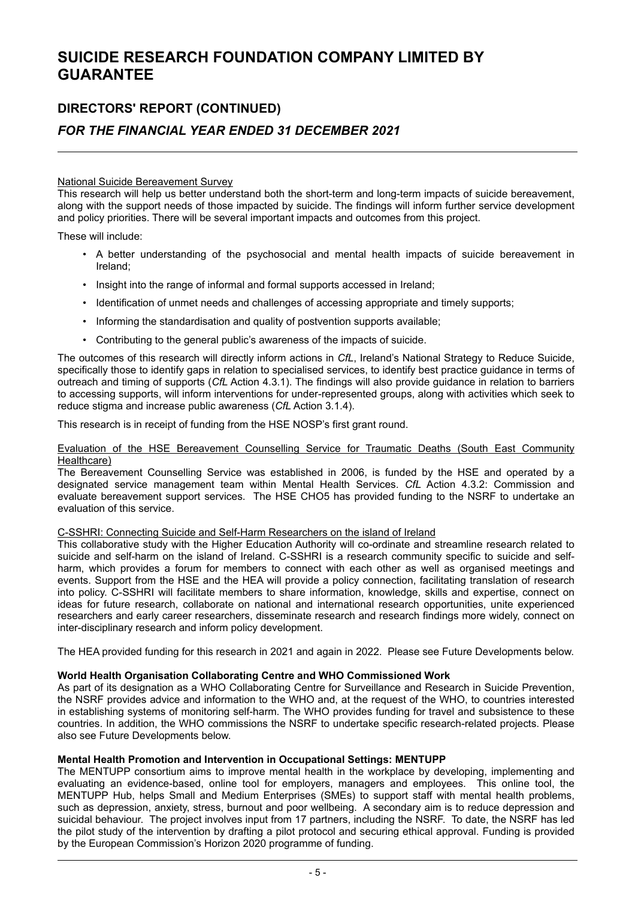# **DIRECTORS' REPORT (CONTINUED)** *FOR THE FINANCIAL YEAR ENDED 31 DECEMBER 2021*

### National Suicide Bereavement Survey

This research will help us better understand both the short-term and long-term impacts of suicide bereavement, along with the support needs of those impacted by suicide. The findings will inform further service development and policy priorities. There will be several important impacts and outcomes from this project.

These will include:

- A better understanding of the psychosocial and mental health impacts of suicide bereavement in Ireland;
- Insight into the range of informal and formal supports accessed in Ireland;
- Identification of unmet needs and challenges of accessing appropriate and timely supports;
- Informing the standardisation and quality of postvention supports available;
- Contributing to the general public's awareness of the impacts of suicide.

The outcomes of this research will directly inform actions in *CfL*, Ireland's National Strategy to Reduce Suicide, specifically those to identify gaps in relation to specialised services, to identify best practice guidance in terms of outreach and timing of supports (*CfL* Action 4.3.1). The findings will also provide guidance in relation to barriers to accessing supports, will inform interventions for under-represented groups, along with activities which seek to reduce stigma and increase public awareness (*CfL* Action 3.1.4).

This research is in receipt of funding from the HSE NOSP's first grant round.

### Evaluation of the HSE Bereavement Counselling Service for Traumatic Deaths (South East Community Healthcare)

The Bereavement Counselling Service was established in 2006, is funded by the HSE and operated by a designated service management team within Mental Health Services. *CfL* Action 4.3.2: Commission and evaluate bereavement support services. The HSE CHO5 has provided funding to the NSRF to undertake an evaluation of this service.

### C-SSHRI: Connecting Suicide and Self-Harm Researchers on the island of Ireland

This collaborative study with the Higher Education Authority will co-ordinate and streamline research related to suicide and self-harm on the island of Ireland. C-SSHRI is a research community specific to suicide and selfharm, which provides a forum for members to connect with each other as well as organised meetings and events. Support from the HSE and the HEA will provide a policy connection, facilitating translation of research into policy. C-SSHRI will facilitate members to share information, knowledge, skills and expertise, connect on ideas for future research, collaborate on national and international research opportunities, unite experienced researchers and early career researchers, disseminate research and research findings more widely, connect on inter-disciplinary research and inform policy development.

The HEA provided funding for this research in 2021 and again in 2022. Please see Future Developments below.

### **World Health Organisation Collaborating Centre and WHO Commissioned Work**

As part of its designation as a WHO Collaborating Centre for Surveillance and Research in Suicide Prevention, the NSRF provides advice and information to the WHO and, at the request of the WHO, to countries interested in establishing systems of monitoring self-harm. The WHO provides funding for travel and subsistence to these countries. In addition, the WHO commissions the NSRF to undertake specific research-related projects. Please also see Future Developments below.

### **Mental Health Promotion and Intervention in Occupational Settings: MENTUPP**

The MENTUPP consortium aims to improve mental health in the workplace by developing, implementing and evaluating an evidence-based, online tool for employers, managers and employees. This online tool, the MENTUPP Hub, helps Small and Medium Enterprises (SMEs) to support staff with mental health problems, such as depression, anxiety, stress, burnout and poor wellbeing. A secondary aim is to reduce depression and suicidal behaviour. The project involves input from 17 partners, including the NSRF. To date, the NSRF has led the pilot study of the intervention by drafting a pilot protocol and securing ethical approval. Funding is provided by the European Commission's Horizon 2020 programme of funding.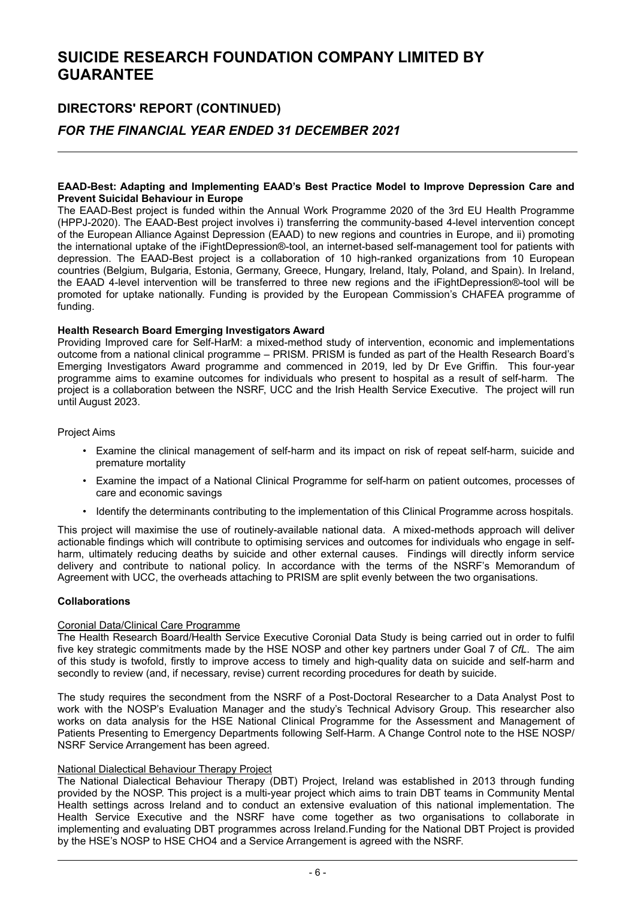## **DIRECTORS' REPORT (CONTINUED)**

## *FOR THE FINANCIAL YEAR ENDED 31 DECEMBER 2021*

### **EAAD-Best: Adapting and Implementing EAAD's Best Practice Model to Improve Depression Care and Prevent Suicidal Behaviour in Europe**

The EAAD-Best project is funded within the Annual Work Programme 2020 of the 3rd EU Health Programme (HPPJ-2020). The EAAD-Best project involves i) transferring the community-based 4-level intervention concept of the European Alliance Against Depression (EAAD) to new regions and countries in Europe, and ii) promoting the international uptake of the iFightDepression®-tool, an internet-based self-management tool for patients with depression. The EAAD-Best project is a collaboration of 10 high-ranked organizations from 10 European countries (Belgium, Bulgaria, Estonia, Germany, Greece, Hungary, Ireland, Italy, Poland, and Spain). In Ireland, the EAAD 4-level intervention will be transferred to three new regions and the iFightDepression®-tool will be promoted for uptake nationally. Funding is provided by the European Commission's CHAFEA programme of funding.

### **Health Research Board Emerging Investigators Award**

Providing Improved care for Self-HarM: a mixed-method study of intervention, economic and implementations outcome from a national clinical programme – PRISM. PRISM is funded as part of the Health Research Board's Emerging Investigators Award programme and commenced in 2019, led by Dr Eve Griffin. This four-year programme aims to examine outcomes for individuals who present to hospital as a result of self-harm. The project is a collaboration between the NSRF, UCC and the Irish Health Service Executive. The project will run until August 2023.

### Project Aims

- Examine the clinical management of self-harm and its impact on risk of repeat self-harm, suicide and premature mortality
- Examine the impact of a National Clinical Programme for self-harm on patient outcomes, processes of care and economic savings
- Identify the determinants contributing to the implementation of this Clinical Programme across hospitals.

This project will maximise the use of routinely-available national data. A mixed-methods approach will deliver actionable findings which will contribute to optimising services and outcomes for individuals who engage in selfharm, ultimately reducing deaths by suicide and other external causes. Findings will directly inform service delivery and contribute to national policy. In accordance with the terms of the NSRF's Memorandum of Agreement with UCC, the overheads attaching to PRISM are split evenly between the two organisations.

### **Collaborations**

### Coronial Data/Clinical Care Programme

The Health Research Board/Health Service Executive Coronial Data Study is being carried out in order to fulfil five key strategic commitments made by the HSE NOSP and other key partners under Goal 7 of *CfL*. The aim of this study is twofold, firstly to improve access to timely and high-quality data on suicide and self-harm and secondly to review (and, if necessary, revise) current recording procedures for death by suicide.

The study requires the secondment from the NSRF of a Post-Doctoral Researcher to a Data Analyst Post to work with the NOSP's Evaluation Manager and the study's Technical Advisory Group. This researcher also works on data analysis for the HSE National Clinical Programme for the Assessment and Management of Patients Presenting to Emergency Departments following Self-Harm. A Change Control note to the HSE NOSP/ NSRF Service Arrangement has been agreed.

### National Dialectical Behaviour Therapy Project

The National Dialectical Behaviour Therapy (DBT) Project, Ireland was established in 2013 through funding provided by the NOSP. This project is a multi-year project which aims to train DBT teams in Community Mental Health settings across Ireland and to conduct an extensive evaluation of this national implementation. The Health Service Executive and the NSRF have come together as two organisations to collaborate in implementing and evaluating DBT programmes across Ireland.Funding for the National DBT Project is provided by the HSE's NOSP to HSE CHO4 and a Service Arrangement is agreed with the NSRF.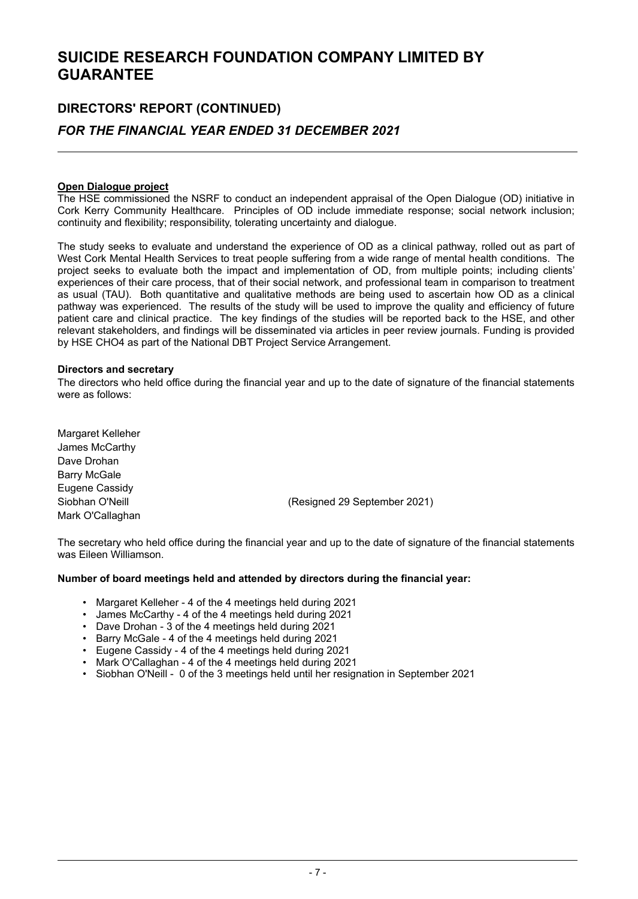# **DIRECTORS' REPORT (CONTINUED)** *FOR THE FINANCIAL YEAR ENDED 31 DECEMBER 2021*

## **Open Dialogue project**

The HSE commissioned the NSRF to conduct an independent appraisal of the Open Dialogue (OD) initiative in Cork Kerry Community Healthcare. Principles of OD include immediate response; social network inclusion; continuity and flexibility; responsibility, tolerating uncertainty and dialogue.

The study seeks to evaluate and understand the experience of OD as a clinical pathway, rolled out as part of West Cork Mental Health Services to treat people suffering from a wide range of mental health conditions. The project seeks to evaluate both the impact and implementation of OD, from multiple points; including clients' experiences of their care process, that of their social network, and professional team in comparison to treatment as usual (TAU). Both quantitative and qualitative methods are being used to ascertain how OD as a clinical pathway was experienced. The results of the study will be used to improve the quality and efficiency of future patient care and clinical practice. The key findings of the studies will be reported back to the HSE, and other relevant stakeholders, and findings will be disseminated via articles in peer review journals. Funding is provided by HSE CHO4 as part of the National DBT Project Service Arrangement.

### **Directors and secretary**

The directors who held office during the financial year and up to the date of signature of the financial statements were as follows:

Margaret Kelleher James McCarthy Dave Drohan Barry McGale Eugene Cassidy Siobhan O'Neill (Resigned 29 September 2021) Mark O'Callaghan

The secretary who held office during the financial year and up to the date of signature of the financial statements was Eileen Williamson.

### **Number of board meetings held and attended by directors during the financial year:**

- Margaret Kelleher 4 of the 4 meetings held during 2021
- James McCarthy 4 of the 4 meetings held during 2021
- Dave Drohan 3 of the 4 meetings held during 2021
- Barry McGale 4 of the 4 meetings held during 2021
- Eugene Cassidy 4 of the 4 meetings held during 2021
- Mark O'Callaghan 4 of the 4 meetings held during 2021
- Siobhan O'Neill 0 of the 3 meetings held until her resignation in September 2021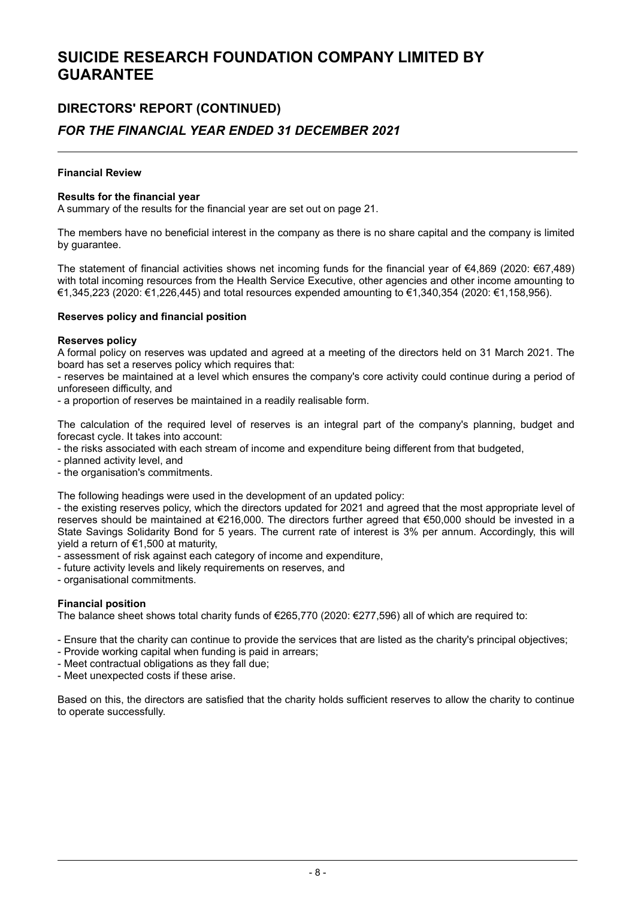# **DIRECTORS' REPORT (CONTINUED)**

## *FOR THE FINANCIAL YEAR ENDED 31 DECEMBER 2021*

## **Financial Review**

## **Results for the financial year**

A summary of the results for the financial year are set out on page 21.

The members have no beneficial interest in the company as there is no share capital and the company is limited by guarantee.

The statement of financial activities shows net incoming funds for the financial year of €4,869 (2020: €67,489) with total incoming resources from the Health Service Executive, other agencies and other income amounting to €1,345,223 (2020: €1,226,445) and total resources expended amounting to €1,340,354 (2020: €1,158,956).

## **Reserves policy and financial position**

## **Reserves policy**

A formal policy on reserves was updated and agreed at a meeting of the directors held on 31 March 2021. The board has set a reserves policy which requires that:

- reserves be maintained at a level which ensures the company's core activity could continue during a period of unforeseen difficulty, and

- a proportion of reserves be maintained in a readily realisable form.

The calculation of the required level of reserves is an integral part of the company's planning, budget and forecast cycle. It takes into account:

- the risks associated with each stream of income and expenditure being different from that budgeted,

- planned activity level, and

- the organisation's commitments.

The following headings were used in the development of an updated policy:

- the existing reserves policy, which the directors updated for 2021 and agreed that the most appropriate level of reserves should be maintained at €216,000. The directors further agreed that €50,000 should be invested in a State Savings Solidarity Bond for 5 years. The current rate of interest is 3% per annum. Accordingly, this will yield a return of €1,500 at maturity,

- assessment of risk against each category of income and expenditure,

- future activity levels and likely requirements on reserves, and

- organisational commitments.

### **Financial position**

The balance sheet shows total charity funds of €265,770 (2020: €277,596) all of which are required to:

- Ensure that the charity can continue to provide the services that are listed as the charity's principal objectives;
- Provide working capital when funding is paid in arrears;
- Meet contractual obligations as they fall due;
- Meet unexpected costs if these arise.

Based on this, the directors are satisfied that the charity holds sufficient reserves to allow the charity to continue to operate successfully.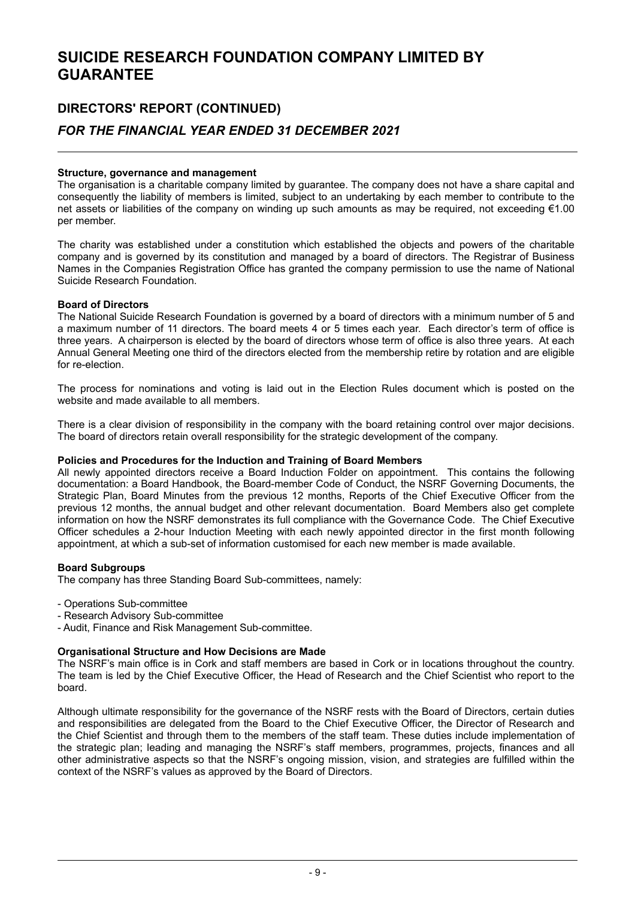# **DIRECTORS' REPORT (CONTINUED)** *FOR THE FINANCIAL YEAR ENDED 31 DECEMBER 2021*

### **Structure, governance and management**

The organisation is a charitable company limited by guarantee. The company does not have a share capital and consequently the liability of members is limited, subject to an undertaking by each member to contribute to the net assets or liabilities of the company on winding up such amounts as may be required, not exceeding €1.00 per member.

The charity was established under a constitution which established the objects and powers of the charitable company and is governed by its constitution and managed by a board of directors. The Registrar of Business Names in the Companies Registration Office has granted the company permission to use the name of National Suicide Research Foundation.

## **Board of Directors**

The National Suicide Research Foundation is governed by a board of directors with a minimum number of 5 and a maximum number of 11 directors. The board meets 4 or 5 times each year. Each director's term of office is three years. A chairperson is elected by the board of directors whose term of office is also three years. At each Annual General Meeting one third of the directors elected from the membership retire by rotation and are eligible for re-election.

The process for nominations and voting is laid out in the Election Rules document which is posted on the website and made available to all members.

There is a clear division of responsibility in the company with the board retaining control over major decisions. The board of directors retain overall responsibility for the strategic development of the company.

### **Policies and Procedures for the Induction and Training of Board Members**

All newly appointed directors receive a Board Induction Folder on appointment. This contains the following documentation: a Board Handbook, the Board-member Code of Conduct, the NSRF Governing Documents, the Strategic Plan, Board Minutes from the previous 12 months, Reports of the Chief Executive Officer from the previous 12 months, the annual budget and other relevant documentation. Board Members also get complete information on how the NSRF demonstrates its full compliance with the Governance Code. The Chief Executive Officer schedules a 2-hour Induction Meeting with each newly appointed director in the first month following appointment, at which a sub-set of information customised for each new member is made available.

### **Board Subgroups**

The company has three Standing Board Sub-committees, namely:

- Operations Sub-committee
- Research Advisory Sub-committee
- Audit, Finance and Risk Management Sub-committee.

### **Organisational Structure and How Decisions are Made**

The NSRF's main office is in Cork and staff members are based in Cork or in locations throughout the country. The team is led by the Chief Executive Officer, the Head of Research and the Chief Scientist who report to the board.

Although ultimate responsibility for the governance of the NSRF rests with the Board of Directors, certain duties and responsibilities are delegated from the Board to the Chief Executive Officer, the Director of Research and the Chief Scientist and through them to the members of the staff team. These duties include implementation of the strategic plan; leading and managing the NSRF's staff members, programmes, projects, finances and all other administrative aspects so that the NSRF's ongoing mission, vision, and strategies are fulfilled within the context of the NSRF's values as approved by the Board of Directors.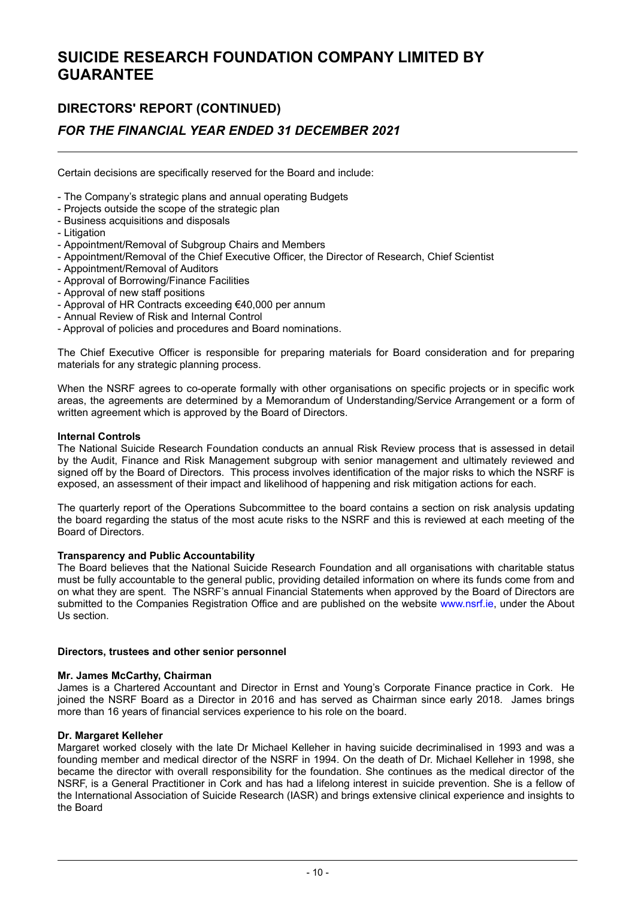## **DIRECTORS' REPORT (CONTINUED)** *FOR THE FINANCIAL YEAR ENDED 31 DECEMBER 2021*

Certain decisions are specifically reserved for the Board and include:

- The Company's strategic plans and annual operating Budgets

- Projects outside the scope of the strategic plan
- Business acquisitions and disposals
- Litigation
- Appointment/Removal of Subgroup Chairs and Members
- Appointment/Removal of the Chief Executive Officer, the Director of Research, Chief Scientist
- Appointment/Removal of Auditors
- Approval of Borrowing/Finance Facilities
- Approval of new staff positions
- Approval of HR Contracts exceeding €40,000 per annum
- Annual Review of Risk and Internal Control
- Approval of policies and procedures and Board nominations.

The Chief Executive Officer is responsible for preparing materials for Board consideration and for preparing materials for any strategic planning process.

When the NSRF agrees to co-operate formally with other organisations on specific projects or in specific work areas, the agreements are determined by a Memorandum of Understanding/Service Arrangement or a form of written agreement which is approved by the Board of Directors.

## **Internal Controls**

The National Suicide Research Foundation conducts an annual Risk Review process that is assessed in detail by the Audit, Finance and Risk Management subgroup with senior management and ultimately reviewed and signed off by the Board of Directors. This process involves identification of the major risks to which the NSRF is exposed, an assessment of their impact and likelihood of happening and risk mitigation actions for each.

The quarterly report of the Operations Subcommittee to the board contains a section on risk analysis updating the board regarding the status of the most acute risks to the NSRF and this is reviewed at each meeting of the Board of Directors.

### **Transparency and Public Accountability**

The Board believes that the National Suicide Research Foundation and all organisations with charitable status must be fully accountable to the general public, providing detailed information on where its funds come from and on what they are spent. The NSRF's annual Financial Statements when approved by the Board of Directors are submitted to the Companies Registration Office and are published on the website www.nsrf.ie, under the About Us section.

### **Directors, trustees and other senior personnel**

### **Mr. James McCarthy, Chairman**

James is a Chartered Accountant and Director in Ernst and Young's Corporate Finance practice in Cork. He joined the NSRF Board as a Director in 2016 and has served as Chairman since early 2018. James brings more than 16 years of financial services experience to his role on the board.

### **Dr. Margaret Kelleher**

Margaret worked closely with the late Dr Michael Kelleher in having suicide decriminalised in 1993 and was a founding member and medical director of the NSRF in 1994. On the death of Dr. Michael Kelleher in 1998, she became the director with overall responsibility for the foundation. She continues as the medical director of the NSRF, is a General Practitioner in Cork and has had a lifelong interest in suicide prevention. She is a fellow of the International Association of Suicide Research (IASR) and brings extensive clinical experience and insights to the Board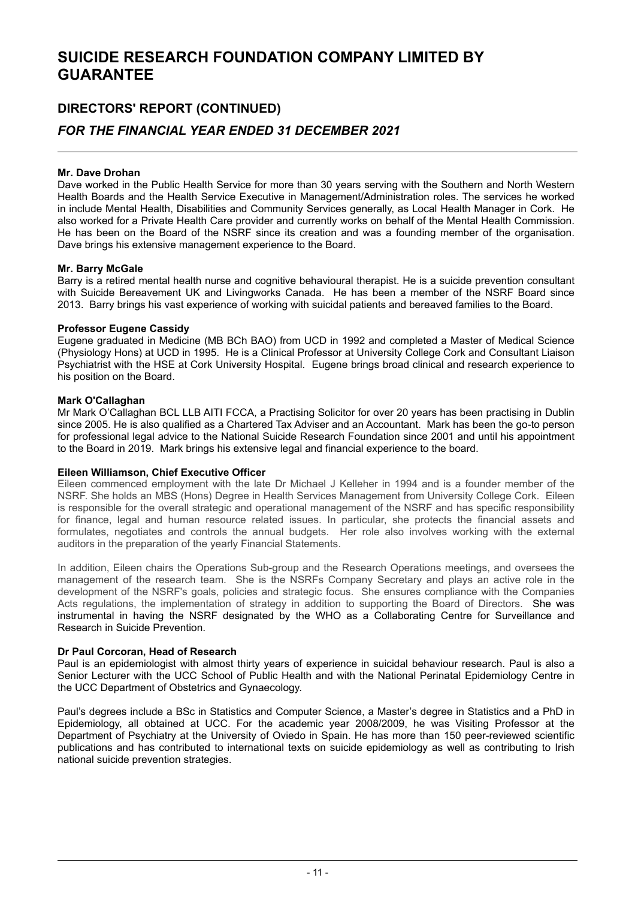## **DIRECTORS' REPORT (CONTINUED)**

## *FOR THE FINANCIAL YEAR ENDED 31 DECEMBER 2021*

### **Mr. Dave Drohan**

Dave worked in the Public Health Service for more than 30 years serving with the Southern and North Western Health Boards and the Health Service Executive in Management/Administration roles. The services he worked in include Mental Health, Disabilities and Community Services generally, as Local Health Manager in Cork. He also worked for a Private Health Care provider and currently works on behalf of the Mental Health Commission. He has been on the Board of the NSRF since its creation and was a founding member of the organisation. Dave brings his extensive management experience to the Board.

### **Mr. Barry McGale**

Barry is a retired mental health nurse and cognitive behavioural therapist. He is a suicide prevention consultant with Suicide Bereavement UK and Livingworks Canada. He has been a member of the NSRF Board since 2013. Barry brings his vast experience of working with suicidal patients and bereaved families to the Board.

### **Professor Eugene Cassidy**

Eugene graduated in Medicine (MB BCh BAO) from UCD in 1992 and completed a Master of Medical Science (Physiology Hons) at UCD in 1995. He is a Clinical Professor at University College Cork and Consultant Liaison Psychiatrist with the HSE at Cork University Hospital. Eugene brings broad clinical and research experience to his position on the Board.

### **Mark O'Callaghan**

Mr Mark O'Callaghan BCL LLB AITI FCCA, a Practising Solicitor for over 20 years has been practising in Dublin since 2005. He is also qualified as a Chartered Tax Adviser and an Accountant. Mark has been the go-to person for professional legal advice to the National Suicide Research Foundation since 2001 and until his appointment to the Board in 2019. Mark brings his extensive legal and financial experience to the board.

### **Eileen Williamson, Chief Executive Officer**

Eileen commenced employment with the late Dr Michael J Kelleher in 1994 and is a founder member of the NSRF. She holds an MBS (Hons) Degree in Health Services Management from University College Cork. Eileen is responsible for the overall strategic and operational management of the NSRF and has specific responsibility for finance, legal and human resource related issues. In particular, she protects the financial assets and formulates, negotiates and controls the annual budgets. Her role also involves working with the external auditors in the preparation of the yearly Financial Statements.

In addition, Eileen chairs the Operations Sub-group and the Research Operations meetings, and oversees the management of the research team. She is the NSRFs Company Secretary and plays an active role in the development of the NSRF's goals, policies and strategic focus. She ensures compliance with the Companies Acts regulations, the implementation of strategy in addition to supporting the Board of Directors. She was instrumental in having the NSRF designated by the WHO as a Collaborating Centre for Surveillance and Research in Suicide Prevention.

### **Dr Paul Corcoran, Head of Research**

Paul is an epidemiologist with almost thirty years of experience in suicidal behaviour research. Paul is also a Senior Lecturer with the UCC School of Public Health and with the National Perinatal Epidemiology Centre in the UCC Department of Obstetrics and Gynaecology.

Paul's degrees include a BSc in Statistics and Computer Science, a Master's degree in Statistics and a PhD in Epidemiology, all obtained at UCC. For the academic year 2008/2009, he was Visiting Professor at the Department of Psychiatry at the University of Oviedo in Spain. He has more than 150 peer-reviewed scientific publications and has contributed to international texts on suicide epidemiology as well as contributing to Irish national suicide prevention strategies.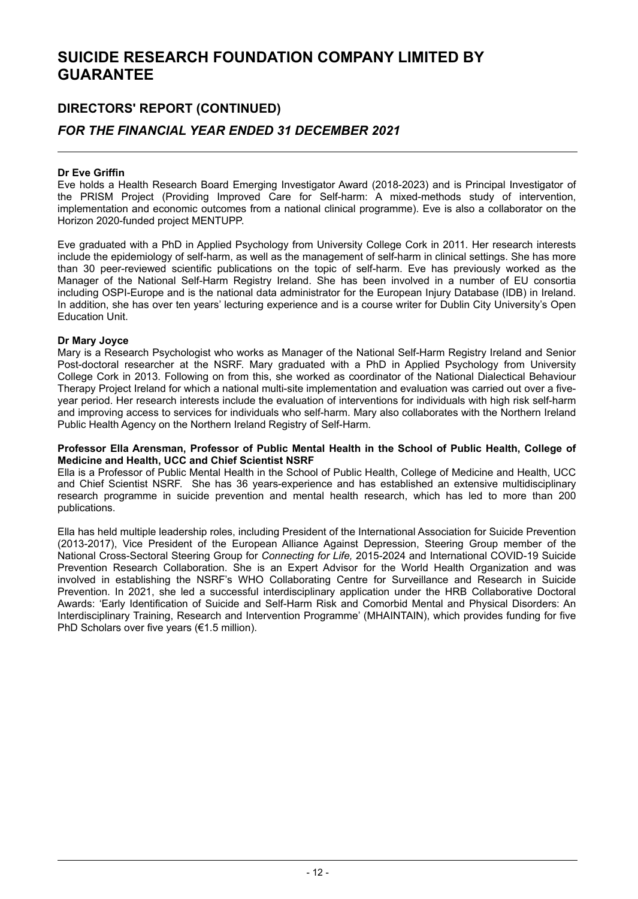## **DIRECTORS' REPORT (CONTINUED)** *FOR THE FINANCIAL YEAR ENDED 31 DECEMBER 2021*

### **Dr Eve Griffin**

Eve holds a Health Research Board Emerging Investigator Award (2018-2023) and is Principal Investigator of the PRISM Project (Providing Improved Care for Self-harm: A mixed-methods study of intervention, implementation and economic outcomes from a national clinical programme). Eve is also a collaborator on the Horizon 2020-funded project MENTUPP.

Eve graduated with a PhD in Applied Psychology from University College Cork in 2011. Her research interests include the epidemiology of self-harm, as well as the management of self-harm in clinical settings. She has more than 30 peer-reviewed scientific publications on the topic of self-harm. Eve has previously worked as the Manager of the National Self-Harm Registry Ireland. She has been involved in a number of EU consortia including OSPI-Europe and is the national data administrator for the European Injury Database (IDB) in Ireland. In addition, she has over ten years' lecturing experience and is a course writer for Dublin City University's Open Education Unit.

### **Dr Mary Joyce**

Mary is a Research Psychologist who works as Manager of the National Self-Harm Registry Ireland and Senior Post-doctoral researcher at the NSRF. Mary graduated with a PhD in Applied Psychology from University College Cork in 2013. Following on from this, she worked as coordinator of the National Dialectical Behaviour Therapy Project Ireland for which a national multi-site implementation and evaluation was carried out over a fiveyear period. Her research interests include the evaluation of interventions for individuals with high risk self-harm and improving access to services for individuals who self-harm. Mary also collaborates with the Northern Ireland Public Health Agency on the Northern Ireland Registry of Self-Harm.

#### **Professor Ella Arensman, Professor of Public Mental Health in the School of Public Health, College of Medicine and Health, UCC and Chief Scientist NSRF**

Ella is a Professor of Public Mental Health in the School of Public Health, College of Medicine and Health, UCC and Chief Scientist NSRF. She has 36 years-experience and has established an extensive multidisciplinary research programme in suicide prevention and mental health research, which has led to more than 200 publications.

Ella has held multiple leadership roles, including President of the International Association for Suicide Prevention (2013-2017), Vice President of the European Alliance Against Depression, Steering Group member of the National Cross-Sectoral Steering Group for *Connecting for Life,* 2015-2024 and International COVID-19 Suicide Prevention Research Collaboration. She is an Expert Advisor for the World Health Organization and was involved in establishing the NSRF's WHO Collaborating Centre for Surveillance and Research in Suicide Prevention. In 2021, she led a successful interdisciplinary application under the HRB Collaborative Doctoral Awards: 'Early Identification of Suicide and Self-Harm Risk and Comorbid Mental and Physical Disorders: An Interdisciplinary Training, Research and Intervention Programme' (MHAINTAIN), which provides funding for five PhD Scholars over five years (€1.5 million).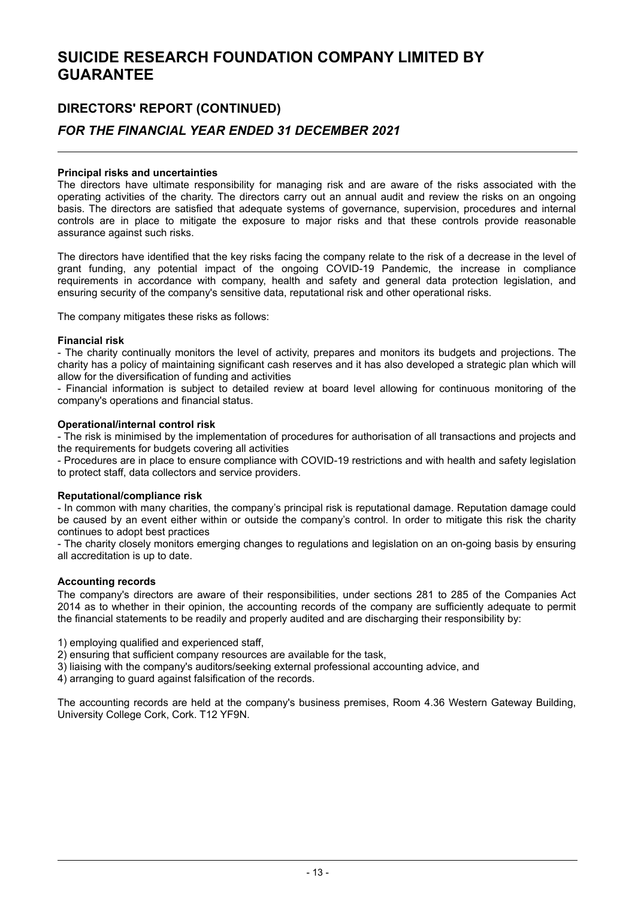## **DIRECTORS' REPORT (CONTINUED)** *FOR THE FINANCIAL YEAR ENDED 31 DECEMBER 2021*

### **Principal risks and uncertainties**

The directors have ultimate responsibility for managing risk and are aware of the risks associated with the operating activities of the charity. The directors carry out an annual audit and review the risks on an ongoing basis. The directors are satisfied that adequate systems of governance, supervision, procedures and internal controls are in place to mitigate the exposure to major risks and that these controls provide reasonable assurance against such risks.

The directors have identified that the key risks facing the company relate to the risk of a decrease in the level of grant funding, any potential impact of the ongoing COVID-19 Pandemic, the increase in compliance requirements in accordance with company, health and safety and general data protection legislation, and ensuring security of the company's sensitive data, reputational risk and other operational risks.

The company mitigates these risks as follows:

### **Financial risk**

- The charity continually monitors the level of activity, prepares and monitors its budgets and projections. The charity has a policy of maintaining significant cash reserves and it has also developed a strategic plan which will allow for the diversification of funding and activities

- Financial information is subject to detailed review at board level allowing for continuous monitoring of the company's operations and financial status.

### **Operational/internal control risk**

- The risk is minimised by the implementation of procedures for authorisation of all transactions and projects and the requirements for budgets covering all activities

- Procedures are in place to ensure compliance with COVID-19 restrictions and with health and safety legislation to protect staff, data collectors and service providers.

### **Reputational/compliance risk**

- In common with many charities, the company's principal risk is reputational damage. Reputation damage could be caused by an event either within or outside the company's control. In order to mitigate this risk the charity continues to adopt best practices

- The charity closely monitors emerging changes to regulations and legislation on an on-going basis by ensuring all accreditation is up to date.

### **Accounting records**

The company's directors are aware of their responsibilities, under sections 281 to 285 of the Companies Act 2014 as to whether in their opinion, the accounting records of the company are sufficiently adequate to permit the financial statements to be readily and properly audited and are discharging their responsibility by:

1) employing qualified and experienced staff,

2) ensuring that sufficient company resources are available for the task,

- 3) liaising with the company's auditors/seeking external professional accounting advice, and
- 4) arranging to guard against falsification of the records.

The accounting records are held at the company's business premises, Room 4.36 Western Gateway Building, University College Cork, Cork. T12 YF9N.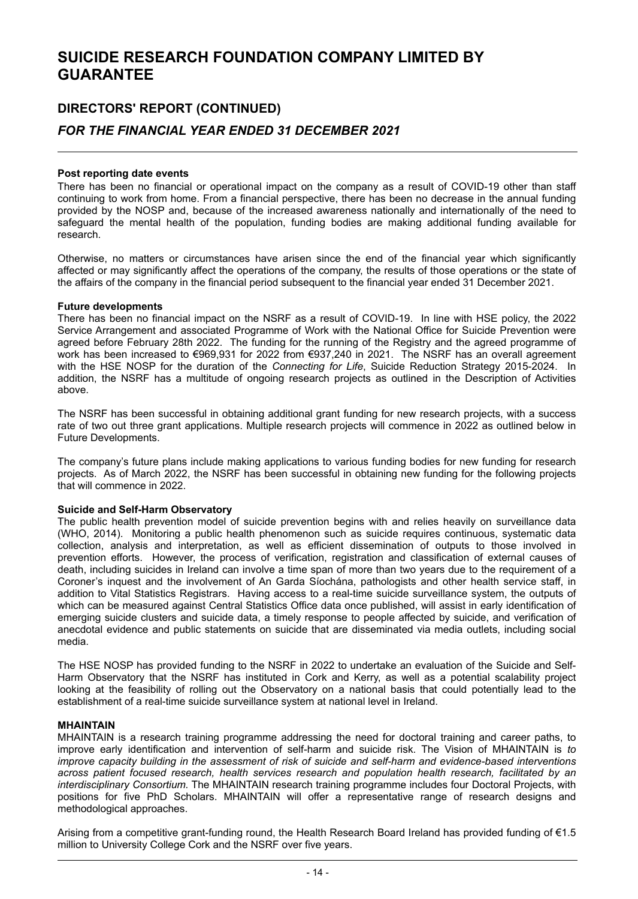## **DIRECTORS' REPORT (CONTINUED)** *FOR THE FINANCIAL YEAR ENDED 31 DECEMBER 2021*

### **Post reporting date events**

There has been no financial or operational impact on the company as a result of COVID-19 other than staff continuing to work from home. From a financial perspective, there has been no decrease in the annual funding provided by the NOSP and, because of the increased awareness nationally and internationally of the need to safeguard the mental health of the population, funding bodies are making additional funding available for research.

Otherwise, no matters or circumstances have arisen since the end of the financial year which significantly affected or may significantly affect the operations of the company, the results of those operations or the state of the affairs of the company in the financial period subsequent to the financial year ended 31 December 2021.

### **Future developments**

There has been no financial impact on the NSRF as a result of COVID-19. In line with HSE policy, the 2022 Service Arrangement and associated Programme of Work with the National Office for Suicide Prevention were agreed before February 28th 2022. The funding for the running of the Registry and the agreed programme of work has been increased to €969,931 for 2022 from €937,240 in 2021. The NSRF has an overall agreement with the HSE NOSP for the duration of the *Connecting for Life*, Suicide Reduction Strategy 2015-2024. In addition, the NSRF has a multitude of ongoing research projects as outlined in the Description of Activities above.

The NSRF has been successful in obtaining additional grant funding for new research projects, with a success rate of two out three grant applications. Multiple research projects will commence in 2022 as outlined below in Future Developments.

The company's future plans include making applications to various funding bodies for new funding for research projects. As of March 2022, the NSRF has been successful in obtaining new funding for the following projects that will commence in 2022.

### **Suicide and Self-Harm Observatory**

The public health prevention model of suicide prevention begins with and relies heavily on surveillance data (WHO, 2014). Monitoring a public health phenomenon such as suicide requires continuous, systematic data collection, analysis and interpretation, as well as efficient dissemination of outputs to those involved in prevention efforts. However, the process of verification, registration and classification of external causes of death, including suicides in Ireland can involve a time span of more than two years due to the requirement of a Coroner's inquest and the involvement of An Garda Síochána, pathologists and other health service staff, in addition to Vital Statistics Registrars. Having access to a real-time suicide surveillance system, the outputs of which can be measured against Central Statistics Office data once published, will assist in early identification of emerging suicide clusters and suicide data, a timely response to people affected by suicide, and verification of anecdotal evidence and public statements on suicide that are disseminated via media outlets, including social media.

The HSE NOSP has provided funding to the NSRF in 2022 to undertake an evaluation of the Suicide and Self-Harm Observatory that the NSRF has instituted in Cork and Kerry, as well as a potential scalability project looking at the feasibility of rolling out the Observatory on a national basis that could potentially lead to the establishment of a real-time suicide surveillance system at national level in Ireland.

### **MHAINTAIN**

MHAINTAIN is a research training programme addressing the need for doctoral training and career paths, to improve early identification and intervention of self-harm and suicide risk. The Vision of MHAINTAIN is *to improve capacity building in the assessment of risk of suicide and self-harm and evidence-based interventions across patient focused research, health services research and population health research, facilitated by an interdisciplinary Consortium.* The MHAINTAIN research training programme includes four Doctoral Projects, with positions for five PhD Scholars. MHAINTAIN will offer a representative range of research designs and methodological approaches.

Arising from a competitive grant-funding round, the Health Research Board Ireland has provided funding of €1.5 million to University College Cork and the NSRF over five years.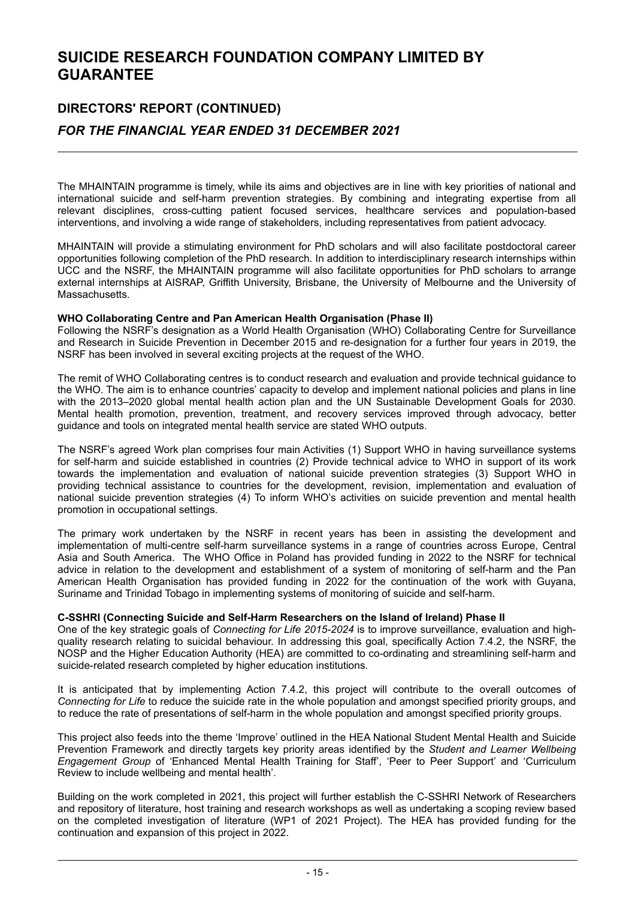# **DIRECTORS' REPORT (CONTINUED)** *FOR THE FINANCIAL YEAR ENDED 31 DECEMBER 2021*

The MHAINTAIN programme is timely, while its aims and objectives are in line with key priorities of national and international suicide and self-harm prevention strategies. By combining and integrating expertise from all relevant disciplines, cross-cutting patient focused services, healthcare services and population-based interventions, and involving a wide range of stakeholders, including representatives from patient advocacy.

MHAINTAIN will provide a stimulating environment for PhD scholars and will also facilitate postdoctoral career opportunities following completion of the PhD research. In addition to interdisciplinary research internships within UCC and the NSRF, the MHAINTAIN programme will also facilitate opportunities for PhD scholars to arrange external internships at AISRAP, Griffith University, Brisbane, the University of Melbourne and the University of Massachusetts.

### **WHO Collaborating Centre and Pan American Health Organisation (Phase II)**

Following the NSRF's designation as a World Health Organisation (WHO) Collaborating Centre for Surveillance and Research in Suicide Prevention in December 2015 and re-designation for a further four years in 2019, the NSRF has been involved in several exciting projects at the request of the WHO.

The remit of WHO Collaborating centres is to conduct research and evaluation and provide technical guidance to the WHO. The aim is to enhance countries' capacity to develop and implement national policies and plans in line with the 2013–2020 global mental health action plan and the UN Sustainable Development Goals for 2030. Mental health promotion, prevention, treatment, and recovery services improved through advocacy, better guidance and tools on integrated mental health service are stated WHO outputs.

The NSRF's agreed Work plan comprises four main Activities (1) Support WHO in having surveillance systems for self-harm and suicide established in countries (2) Provide technical advice to WHO in support of its work towards the implementation and evaluation of national suicide prevention strategies (3) Support WHO in providing technical assistance to countries for the development, revision, implementation and evaluation of national suicide prevention strategies (4) To inform WHO's activities on suicide prevention and mental health promotion in occupational settings.

The primary work undertaken by the NSRF in recent years has been in assisting the development and implementation of multi-centre self-harm surveillance systems in a range of countries across Europe, Central Asia and South America. The WHO Office in Poland has provided funding in 2022 to the NSRF for technical advice in relation to the development and establishment of a system of monitoring of self-harm and the Pan American Health Organisation has provided funding in 2022 for the continuation of the work with Guyana, Suriname and Trinidad Tobago in implementing systems of monitoring of suicide and self-harm.

### **C-SSHRI (Connecting Suicide and Self-Harm Researchers on the Island of Ireland) Phase II**

One of the key strategic goals of *Connecting for Life 2015-2024* is to improve surveillance, evaluation and highquality research relating to suicidal behaviour. In addressing this goal, specifically Action 7.4.2, the NSRF, the NOSP and the Higher Education Authority (HEA) are committed to co-ordinating and streamlining self-harm and suicide-related research completed by higher education institutions.

It is anticipated that by implementing Action 7.4.2, this project will contribute to the overall outcomes of *Connecting for Life* to reduce the suicide rate in the whole population and amongst specified priority groups, and to reduce the rate of presentations of self-harm in the whole population and amongst specified priority groups.

This project also feeds into the theme 'Improve' outlined in the HEA National Student Mental Health and Suicide Prevention Framework and directly targets key priority areas identified by the *Student and Learner Wellbeing Engagement Group* of 'Enhanced Mental Health Training for Staff', 'Peer to Peer Support' and 'Curriculum Review to include wellbeing and mental health'.

Building on the work completed in 2021, this project will further establish the C-SSHRI Network of Researchers and repository of literature, host training and research workshops as well as undertaking a scoping review based on the completed investigation of literature (WP1 of 2021 Project). The HEA has provided funding for the continuation and expansion of this project in 2022.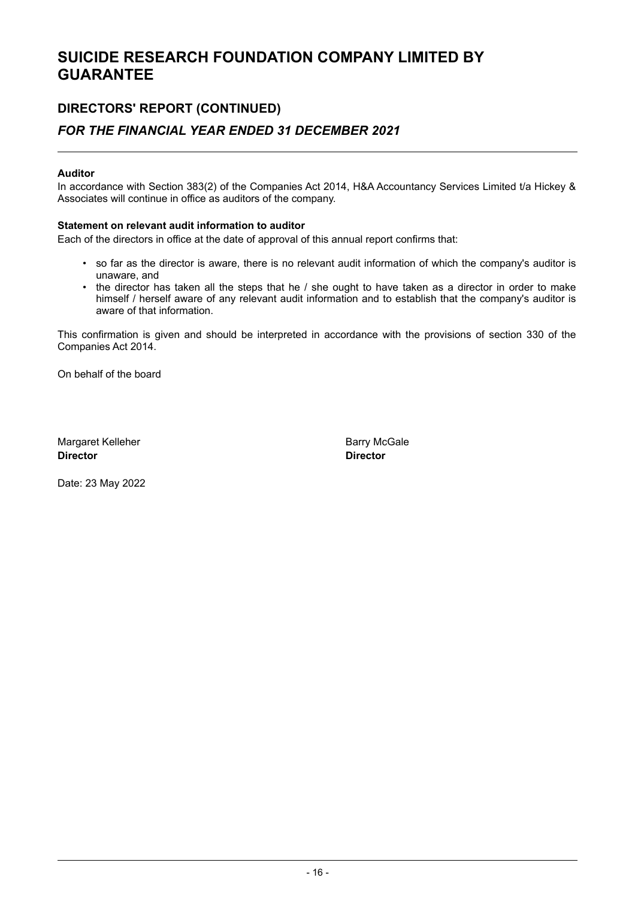## **DIRECTORS' REPORT (CONTINUED)**

## *FOR THE FINANCIAL YEAR ENDED 31 DECEMBER 2021*

### **Auditor**

In accordance with Section 383(2) of the Companies Act 2014, H&A Accountancy Services Limited t/a Hickey & Associates will continue in office as auditors of the company.

### **Statement on relevant audit information to auditor**

Each of the directors in office at the date of approval of this annual report confirms that:

- so far as the director is aware, there is no relevant audit information of which the company's auditor is unaware, and
- the director has taken all the steps that he / she ought to have taken as a director in order to make himself / herself aware of any relevant audit information and to establish that the company's auditor is aware of that information.

This confirmation is given and should be interpreted in accordance with the provisions of section 330 of the Companies Act 2014.

On behalf of the board

Margaret Kelleher **Barry McGale Director Director**

Date: 23 May 2022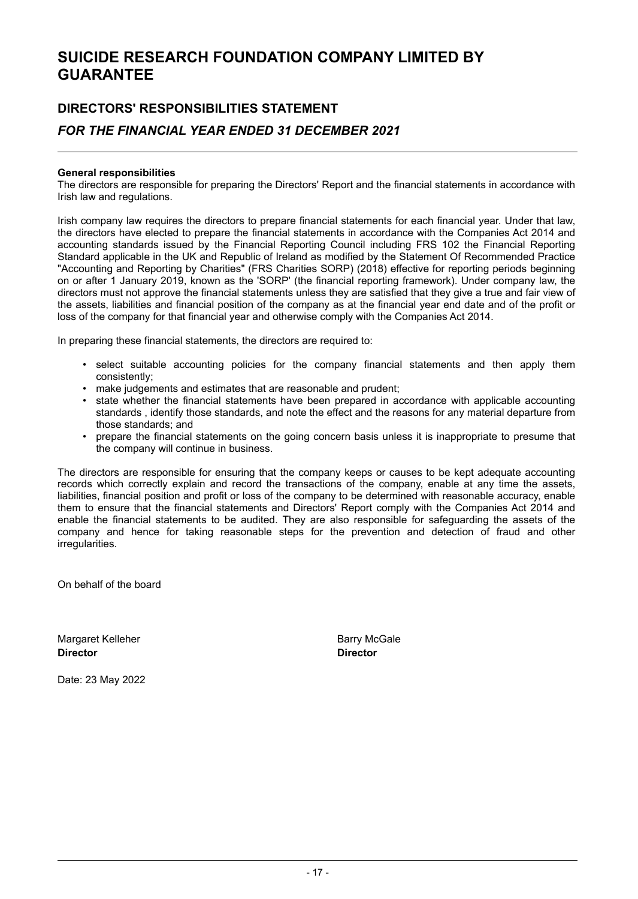## **DIRECTORS' RESPONSIBILITIES STATEMENT** *FOR THE FINANCIAL YEAR ENDED 31 DECEMBER 2021*

### **General responsibilities**

The directors are responsible for preparing the Directors' Report and the financial statements in accordance with Irish law and regulations.

Irish company law requires the directors to prepare financial statements for each financial year. Under that law, the directors have elected to prepare the financial statements in accordance with the Companies Act 2014 and accounting standards issued by the Financial Reporting Council including FRS 102 the Financial Reporting Standard applicable in the UK and Republic of Ireland as modified by the Statement Of Recommended Practice "Accounting and Reporting by Charities" (FRS Charities SORP) (2018) effective for reporting periods beginning on or after 1 January 2019, known as the 'SORP' (the financial reporting framework). Under company law, the directors must not approve the financial statements unless they are satisfied that they give a true and fair view of the assets, liabilities and financial position of the company as at the financial year end date and of the profit or loss of the company for that financial year and otherwise comply with the Companies Act 2014.

In preparing these financial statements, the directors are required to:

- select suitable accounting policies for the company financial statements and then apply them consistently;
- make judgements and estimates that are reasonable and prudent;
- state whether the financial statements have been prepared in accordance with applicable accounting standards , identify those standards, and note the effect and the reasons for any material departure from those standards; and
- prepare the financial statements on the going concern basis unless it is inappropriate to presume that the company will continue in business.

The directors are responsible for ensuring that the company keeps or causes to be kept adequate accounting records which correctly explain and record the transactions of the company, enable at any time the assets, liabilities, financial position and profit or loss of the company to be determined with reasonable accuracy, enable them to ensure that the financial statements and Directors' Report comply with the Companies Act 2014 and enable the financial statements to be audited. They are also responsible for safeguarding the assets of the company and hence for taking reasonable steps for the prevention and detection of fraud and other irregularities.

On behalf of the board

Margaret Kelleher **Barry McGale Director Director**

Date: 23 May 2022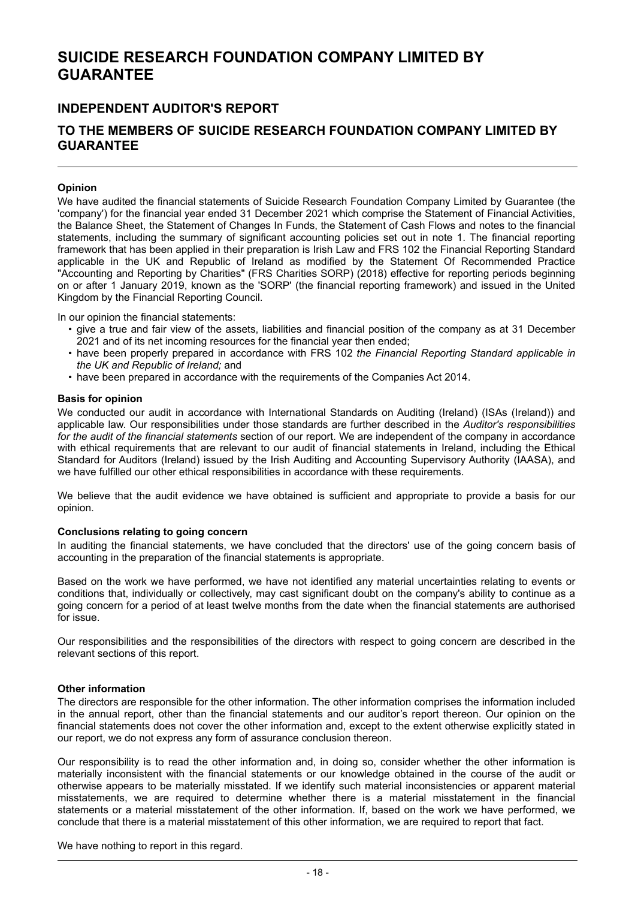## **INDEPENDENT AUDITOR'S REPORT**

## **TO THE MEMBERS OF SUICIDE RESEARCH FOUNDATION COMPANY LIMITED BY GUARANTEE**

## **Opinion**

We have audited the financial statements of Suicide Research Foundation Company Limited by Guarantee (the 'company') for the financial year ended 31 December 2021 which comprise the Statement of Financial Activities, the Balance Sheet, the Statement of Changes In Funds, the Statement of Cash Flows and notes to the financial statements, including the summary of significant accounting policies set out in note 1. The financial reporting framework that has been applied in their preparation is Irish Law and FRS 102 the Financial Reporting Standard applicable in the UK and Republic of Ireland as modified by the Statement Of Recommended Practice "Accounting and Reporting by Charities" (FRS Charities SORP) (2018) effective for reporting periods beginning on or after 1 January 2019, known as the 'SORP' (the financial reporting framework) and issued in the United Kingdom by the Financial Reporting Council.

In our opinion the financial statements:

- give a true and fair view of the assets, liabilities and financial position of the company as at 31 December 2021 and of its net incoming resources for the financial year then ended;
- have been properly prepared in accordance with FRS 102 *the Financial Reporting Standard applicable in the UK and Republic of Ireland;* and
- have been prepared in accordance with the requirements of the Companies Act 2014.

### **Basis for opinion**

We conducted our audit in accordance with International Standards on Auditing (Ireland) (ISAs (Ireland)) and applicable law. Our responsibilities under those standards are further described in the *Auditor's responsibilities for the audit of the financial statements* section of our report. We are independent of the company in accordance with ethical requirements that are relevant to our audit of financial statements in Ireland, including the Ethical Standard for Auditors (Ireland) issued by the Irish Auditing and Accounting Supervisory Authority (IAASA), and we have fulfilled our other ethical responsibilities in accordance with these requirements.

We believe that the audit evidence we have obtained is sufficient and appropriate to provide a basis for our opinion.

### **Conclusions relating to going concern**

In auditing the financial statements, we have concluded that the directors' use of the going concern basis of accounting in the preparation of the financial statements is appropriate.

Based on the work we have performed, we have not identified any material uncertainties relating to events or conditions that, individually or collectively, may cast significant doubt on the company's ability to continue as a going concern for a period of at least twelve months from the date when the financial statements are authorised for issue.

Our responsibilities and the responsibilities of the directors with respect to going concern are described in the relevant sections of this report.

### **Other information**

The directors are responsible for the other information. The other information comprises the information included in the annual report, other than the financial statements and our auditor's report thereon. Our opinion on the financial statements does not cover the other information and, except to the extent otherwise explicitly stated in our report, we do not express any form of assurance conclusion thereon.

Our responsibility is to read the other information and, in doing so, consider whether the other information is materially inconsistent with the financial statements or our knowledge obtained in the course of the audit or otherwise appears to be materially misstated. If we identify such material inconsistencies or apparent material misstatements, we are required to determine whether there is a material misstatement in the financial statements or a material misstatement of the other information. If, based on the work we have performed, we conclude that there is a material misstatement of this other information, we are required to report that fact.

We have nothing to report in this regard.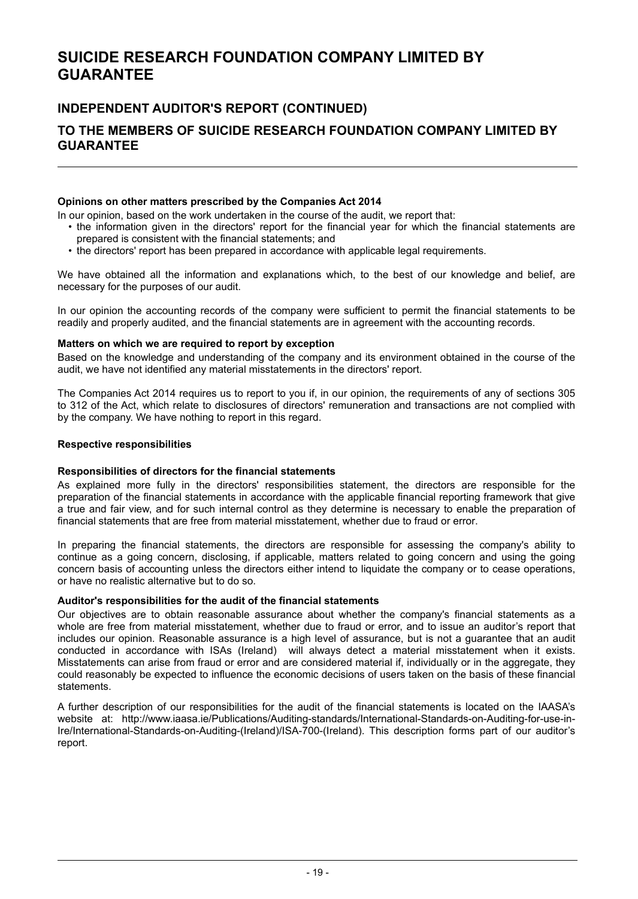## **INDEPENDENT AUDITOR'S REPORT (CONTINUED)**

## **TO THE MEMBERS OF SUICIDE RESEARCH FOUNDATION COMPANY LIMITED BY GUARANTEE**

### **Opinions on other matters prescribed by the Companies Act 2014**

In our opinion, based on the work undertaken in the course of the audit, we report that:

- the information given in the directors' report for the financial year for which the financial statements are prepared is consistent with the financial statements; and
- the directors' report has been prepared in accordance with applicable legal requirements.

We have obtained all the information and explanations which, to the best of our knowledge and belief, are necessary for the purposes of our audit.

In our opinion the accounting records of the company were sufficient to permit the financial statements to be readily and properly audited, and the financial statements are in agreement with the accounting records.

### **Matters on which we are required to report by exception**

Based on the knowledge and understanding of the company and its environment obtained in the course of the audit, we have not identified any material misstatements in the directors' report.

The Companies Act 2014 requires us to report to you if, in our opinion, the requirements of any of sections 305 to 312 of the Act, which relate to disclosures of directors' remuneration and transactions are not complied with by the company. We have nothing to report in this regard.

### **Respective responsibilities**

### **Responsibilities of directors for the financial statements**

As explained more fully in the directors' responsibilities statement, the directors are responsible for the preparation of the financial statements in accordance with the applicable financial reporting framework that give a true and fair view, and for such internal control as they determine is necessary to enable the preparation of financial statements that are free from material misstatement, whether due to fraud or error.

In preparing the financial statements, the directors are responsible for assessing the company's ability to continue as a going concern, disclosing, if applicable, matters related to going concern and using the going concern basis of accounting unless the directors either intend to liquidate the company or to cease operations, or have no realistic alternative but to do so.

### **Auditor's responsibilities for the audit of the financial statements**

Our objectives are to obtain reasonable assurance about whether the company's financial statements as a whole are free from material misstatement, whether due to fraud or error, and to issue an auditor's report that includes our opinion. Reasonable assurance is a high level of assurance, but is not a guarantee that an audit conducted in accordance with ISAs (Ireland) will always detect a material misstatement when it exists. Misstatements can arise from fraud or error and are considered material if, individually or in the aggregate, they could reasonably be expected to influence the economic decisions of users taken on the basis of these financial statements.

A further description of our responsibilities for the audit of the financial statements is located on the IAASA's website at: http://www.iaasa.ie/Publications/Auditing-standards/International-Standards-on-Auditing-for-use-in-Ire/International-Standards-on-Auditing-(Ireland)/ISA-700-(Ireland). This description forms part of our auditor's report.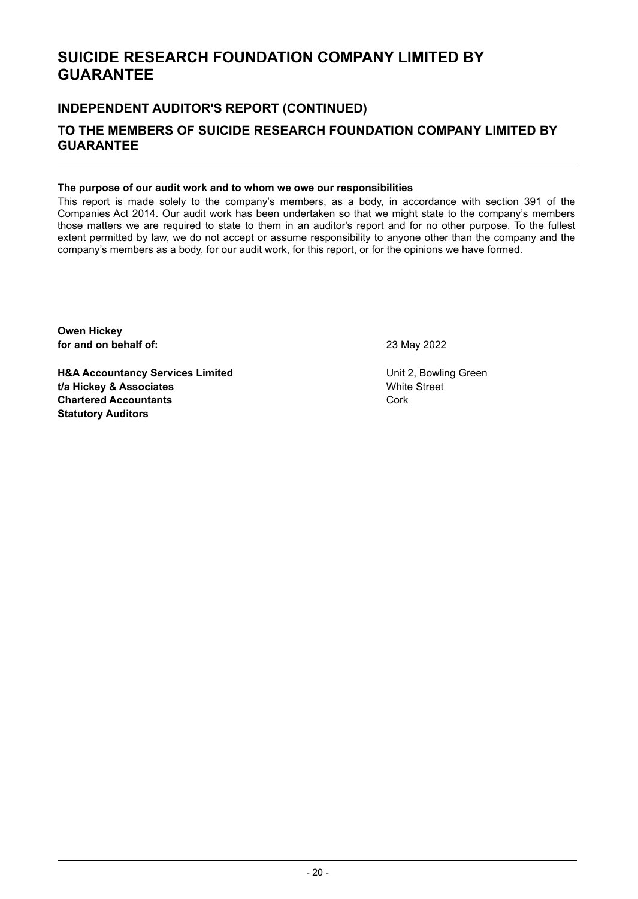## **INDEPENDENT AUDITOR'S REPORT (CONTINUED)**

## **TO THE MEMBERS OF SUICIDE RESEARCH FOUNDATION COMPANY LIMITED BY GUARANTEE**

### **The purpose of our audit work and to whom we owe our responsibilities**

This report is made solely to the company's members, as a body, in accordance with section 391 of the Companies Act 2014. Our audit work has been undertaken so that we might state to the company's members those matters we are required to state to them in an auditor's report and for no other purpose. To the fullest extent permitted by law, we do not accept or assume responsibility to anyone other than the company and the company's members as a body, for our audit work, for this report, or for the opinions we have formed.

**Owen Hickey for and on behalf of:** 23 May 2022

**H&A Accountancy Services Limited** Unit 2, Bowling Green **t/a Hickey & Associates** White Street **Chartered Accountants** Cork **Statutory Auditors**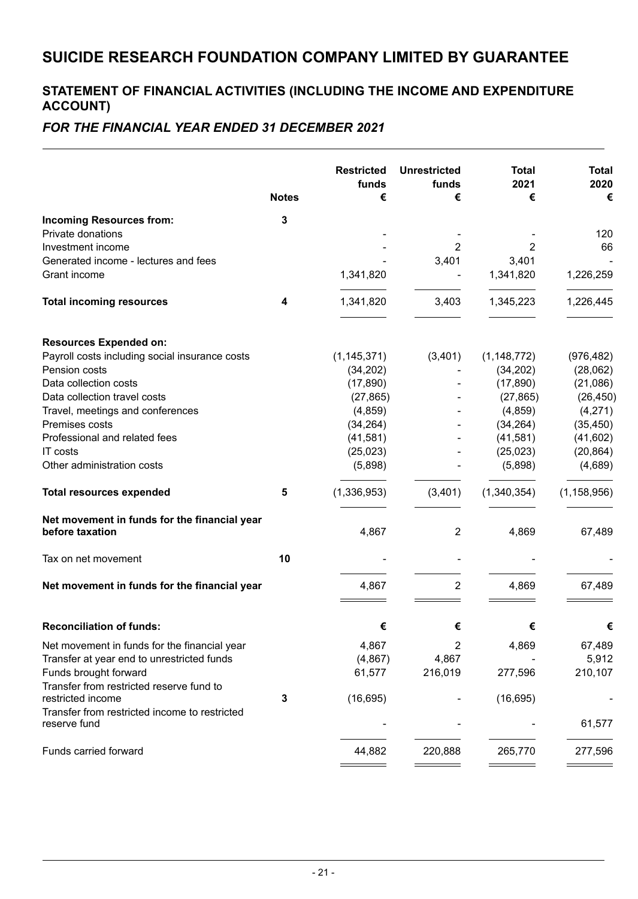## **STATEMENT OF FINANCIAL ACTIVITIES (INCLUDING THE INCOME AND EXPENDITURE ACCOUNT)**

## *FOR THE FINANCIAL YEAR ENDED 31 DECEMBER 2021*

|                                                                 | <b>Notes</b> | <b>Restricted</b><br>funds<br>€ | <b>Unrestricted</b><br>funds<br>€ | <b>Total</b><br>2021<br>€ | <b>Total</b><br>2020<br>€ |
|-----------------------------------------------------------------|--------------|---------------------------------|-----------------------------------|---------------------------|---------------------------|
| <b>Incoming Resources from:</b>                                 | 3            |                                 |                                   |                           |                           |
| Private donations                                               |              |                                 |                                   |                           | 120                       |
| Investment income                                               |              |                                 | $\overline{2}$                    | 2                         | 66                        |
| Generated income - lectures and fees                            |              |                                 | 3,401                             | 3,401                     |                           |
| Grant income                                                    |              | 1,341,820                       |                                   | 1,341,820                 | 1,226,259                 |
| <b>Total incoming resources</b>                                 | 4            | 1,341,820                       | 3,403                             | 1,345,223                 | 1,226,445                 |
| <b>Resources Expended on:</b>                                   |              |                                 |                                   |                           |                           |
| Payroll costs including social insurance costs                  |              | (1, 145, 371)                   | (3, 401)                          | (1, 148, 772)             | (976, 482)                |
| Pension costs                                                   |              | (34,202)                        |                                   | (34,202)                  | (28,062)                  |
| Data collection costs                                           |              | (17, 890)                       |                                   | (17, 890)                 | (21,086)                  |
| Data collection travel costs                                    |              | (27, 865)                       |                                   | (27, 865)                 | (26, 450)                 |
| Travel, meetings and conferences                                |              | (4, 859)                        |                                   | (4, 859)                  | (4,271)                   |
| Premises costs                                                  |              | (34, 264)                       |                                   | (34, 264)                 | (35, 450)                 |
| Professional and related fees<br>IT costs                       |              | (41, 581)<br>(25, 023)          |                                   | (41, 581)<br>(25, 023)    | (41,602)<br>(20, 864)     |
| Other administration costs                                      |              | (5,898)                         |                                   | (5,898)                   | (4,689)                   |
| <b>Total resources expended</b>                                 | 5            | (1,336,953)                     | (3,401)                           | (1,340,354)               | (1, 158, 956)             |
| Net movement in funds for the financial year<br>before taxation |              | 4,867                           | $\overline{2}$                    | 4,869                     | 67,489                    |
| Tax on net movement                                             | 10           |                                 |                                   |                           |                           |
| Net movement in funds for the financial year                    |              | 4,867                           | 2                                 | 4,869                     | 67,489                    |
| <b>Reconciliation of funds:</b>                                 |              | €                               | €                                 | €                         | €                         |
| Net movement in funds for the financial year                    |              | 4,867                           | 2                                 | 4,869                     | 67,489                    |
| Transfer at year end to unrestricted funds                      |              | (4, 867)                        | 4,867                             |                           | 5,912                     |
| Funds brought forward                                           |              | 61,577                          | 216,019                           | 277,596                   | 210,107                   |
| Transfer from restricted reserve fund to<br>restricted income   | 3            | (16, 695)                       |                                   | (16, 695)                 |                           |
| Transfer from restricted income to restricted<br>reserve fund   |              |                                 |                                   |                           | 61,577                    |
| <b>Funds carried forward</b>                                    |              | 44,882                          | 220,888                           | 265,770                   | 277,596                   |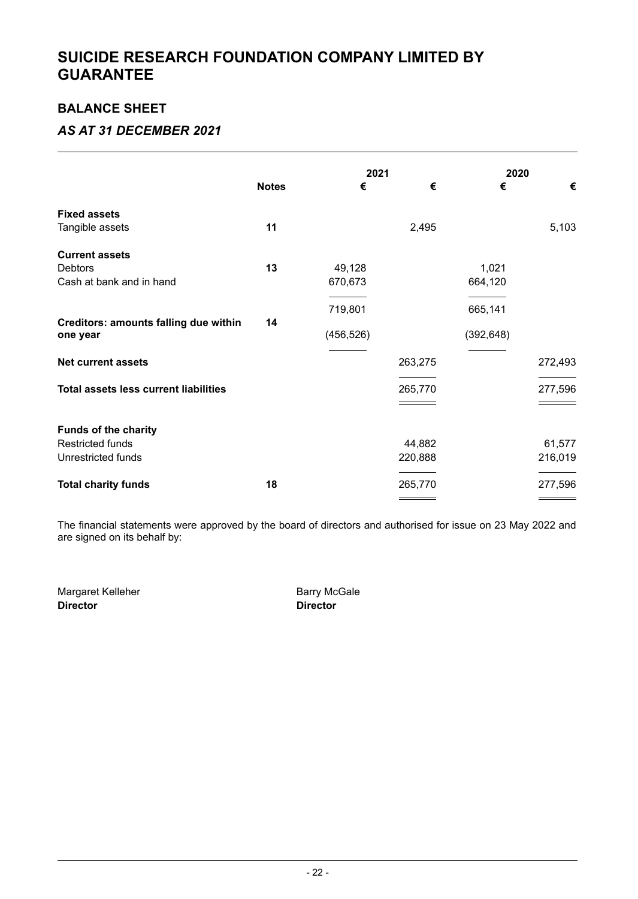## **BALANCE SHEET**

## *AS AT 31 DECEMBER 2021*

|                                              | <b>Notes</b> | 2021<br>€  | €       | 2020<br>€  | €       |
|----------------------------------------------|--------------|------------|---------|------------|---------|
| <b>Fixed assets</b>                          |              |            |         |            |         |
| Tangible assets                              | 11           |            | 2,495   |            | 5,103   |
| <b>Current assets</b>                        |              |            |         |            |         |
| <b>Debtors</b>                               | 13           | 49,128     |         | 1,021      |         |
| Cash at bank and in hand                     |              | 670,673    |         | 664,120    |         |
|                                              |              | 719,801    |         | 665,141    |         |
| <b>Creditors: amounts falling due within</b> | 14           |            |         |            |         |
| one year                                     |              | (456, 526) |         | (392, 648) |         |
| <b>Net current assets</b>                    |              |            | 263,275 |            | 272,493 |
| <b>Total assets less current liabilities</b> |              |            | 265,770 |            | 277,596 |
|                                              |              |            |         |            |         |
| <b>Funds of the charity</b>                  |              |            |         |            |         |
| <b>Restricted funds</b>                      |              |            | 44,882  |            | 61,577  |
| Unrestricted funds                           |              |            | 220,888 |            | 216,019 |
|                                              |              |            |         |            |         |
| <b>Total charity funds</b>                   | 18           |            | 265,770 |            | 277,596 |
|                                              |              |            |         |            |         |

The financial statements were approved by the board of directors and authorised for issue on 23 May 2022 and are signed on its behalf by:

Margaret Kelleher **Barry McGale**<br> **Director** Barry McGale

**Director Director**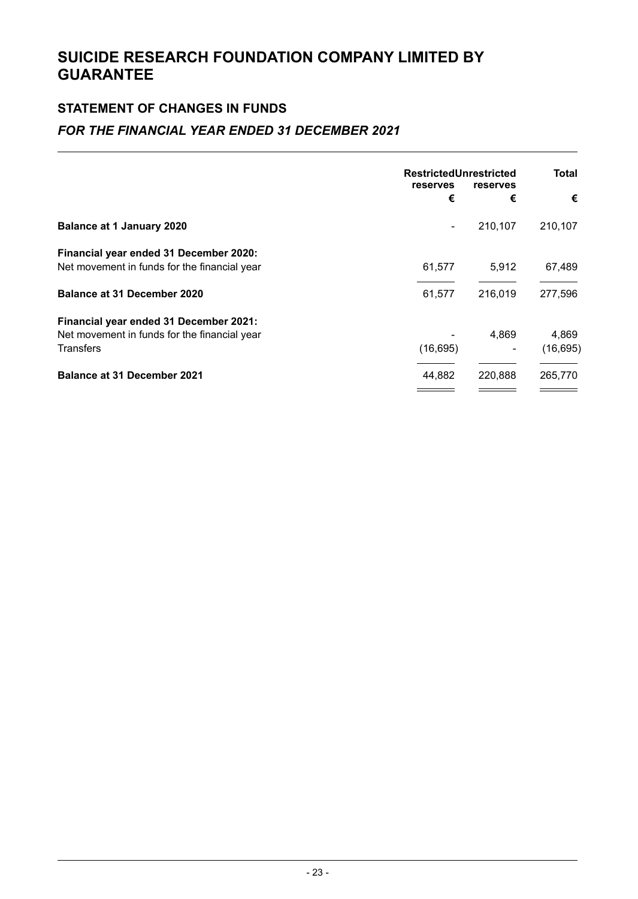## **STATEMENT OF CHANGES IN FUNDS**

## *FOR THE FINANCIAL YEAR ENDED 31 DECEMBER 2021*

|                                              |                              | <b>RestrictedUnrestricted</b> |           |
|----------------------------------------------|------------------------------|-------------------------------|-----------|
|                                              | reserves                     | <b>reserves</b>               |           |
|                                              | €                            | €                             | €         |
| <b>Balance at 1 January 2020</b>             | $\qquad \qquad \blacksquare$ | 210,107                       | 210,107   |
| Financial year ended 31 December 2020:       |                              |                               |           |
| Net movement in funds for the financial year | 61,577                       | 5,912                         | 67,489    |
| <b>Balance at 31 December 2020</b>           | 61,577                       | 216,019                       | 277,596   |
| Financial year ended 31 December 2021:       |                              |                               |           |
| Net movement in funds for the financial year |                              | 4,869                         | 4,869     |
| Transfers                                    | (16, 695)                    |                               | (16, 695) |
| <b>Balance at 31 December 2021</b>           | 44,882                       | 220,888                       | 265,770   |
|                                              |                              |                               |           |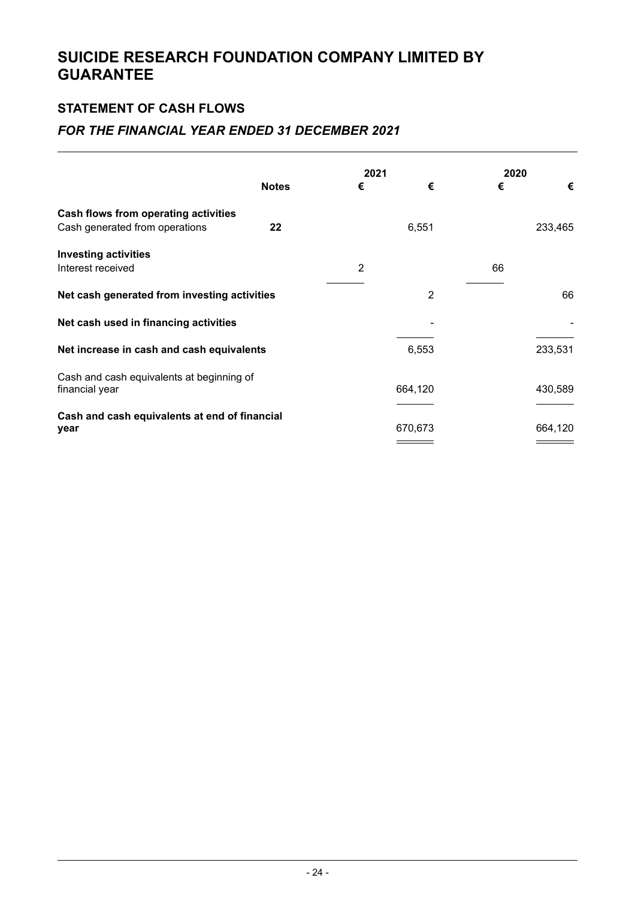## **STATEMENT OF CASH FLOWS**

## *FOR THE FINANCIAL YEAR ENDED 31 DECEMBER 2021*

|                                                                        | <b>Notes</b> | 2021<br>€ | €              | 2020<br>€ | €       |
|------------------------------------------------------------------------|--------------|-----------|----------------|-----------|---------|
|                                                                        |              |           |                |           |         |
| Cash flows from operating activities<br>Cash generated from operations | 22           |           | 6,551          |           | 233,465 |
|                                                                        |              |           |                |           |         |
| <b>Investing activities</b>                                            |              |           |                |           |         |
| Interest received                                                      |              | 2         |                | 66        |         |
|                                                                        |              |           |                |           |         |
| Net cash generated from investing activities                           |              |           | $\overline{2}$ |           | 66      |
|                                                                        |              |           |                |           |         |
| Net cash used in financing activities                                  |              |           |                |           |         |
|                                                                        |              |           |                |           |         |
| Net increase in cash and cash equivalents                              |              |           | 6,553          |           | 233,531 |
|                                                                        |              |           |                |           |         |
| Cash and cash equivalents at beginning of                              |              |           |                |           |         |
| financial year                                                         |              |           | 664,120        |           | 430,589 |
|                                                                        |              |           |                |           |         |
| Cash and cash equivalents at end of financial                          |              |           |                |           |         |
| year                                                                   |              |           | 670,673        |           | 664,120 |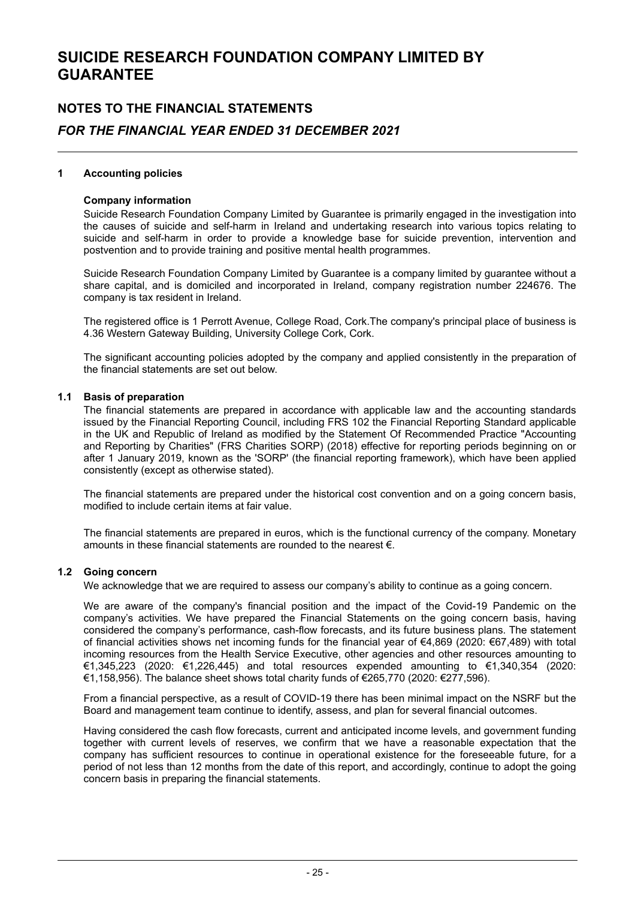# **NOTES TO THE FINANCIAL STATEMENTS** *FOR THE FINANCIAL YEAR ENDED 31 DECEMBER 2021*

### **1 Accounting policies**

### **Company information**

Suicide Research Foundation Company Limited by Guarantee is primarily engaged in the investigation into the causes of suicide and self-harm in Ireland and undertaking research into various topics relating to suicide and self-harm in order to provide a knowledge base for suicide prevention, intervention and postvention and to provide training and positive mental health programmes.

Suicide Research Foundation Company Limited by Guarantee is a company limited by guarantee without a share capital, and is domiciled and incorporated in Ireland, company registration number 224676. The company is tax resident in Ireland.

The registered office is 1 Perrott Avenue, College Road, Cork.The company's principal place of business is 4.36 Western Gateway Building, University College Cork, Cork.

The significant accounting policies adopted by the company and applied consistently in the preparation of the financial statements are set out below.

### **1.1 Basis of preparation**

The financial statements are prepared in accordance with applicable law and the accounting standards issued by the Financial Reporting Council, including FRS 102 the Financial Reporting Standard applicable in the UK and Republic of Ireland as modified by the Statement Of Recommended Practice "Accounting and Reporting by Charities" (FRS Charities SORP) (2018) effective for reporting periods beginning on or after 1 January 2019, known as the 'SORP' (the financial reporting framework), which have been applied consistently (except as otherwise stated).

The financial statements are prepared under the historical cost convention and on a going concern basis, modified to include certain items at fair value.

The financial statements are prepared in euros, which is the functional currency of the company. Monetary amounts in these financial statements are rounded to the nearest €.

### **1.2 Going concern**

We acknowledge that we are required to assess our company's ability to continue as a going concern.

We are aware of the company's financial position and the impact of the Covid-19 Pandemic on the company's activities. We have prepared the Financial Statements on the going concern basis, having considered the company's performance, cash-flow forecasts, and its future business plans. The statement of financial activities shows net incoming funds for the financial year of €4,869 (2020: €67,489) with total incoming resources from the Health Service Executive, other agencies and other resources amounting to €1,345,223 (2020: €1,226,445) and total resources expended amounting to €1,340,354 (2020: €1,158,956). The balance sheet shows total charity funds of €265,770 (2020: €277,596).

From a financial perspective, as a result of COVID-19 there has been minimal impact on the NSRF but the Board and management team continue to identify, assess, and plan for several financial outcomes.

Having considered the cash flow forecasts, current and anticipated income levels, and government funding together with current levels of reserves, we confirm that we have a reasonable expectation that the company has sufficient resources to continue in operational existence for the foreseeable future, for a period of not less than 12 months from the date of this report, and accordingly, continue to adopt the going concern basis in preparing the financial statements.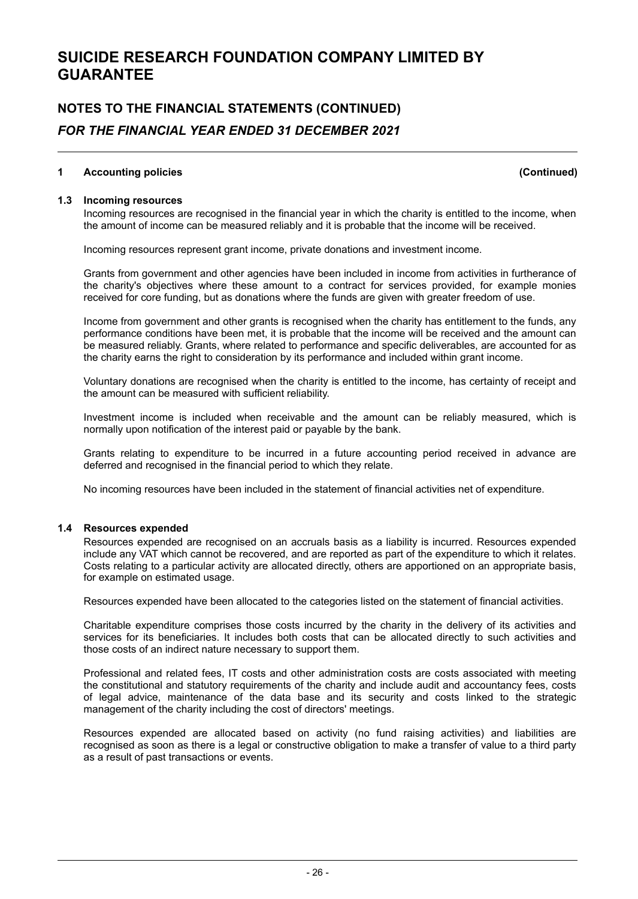# **NOTES TO THE FINANCIAL STATEMENTS (CONTINUED)** *FOR THE FINANCIAL YEAR ENDED 31 DECEMBER 2021*

## **1 Accounting policies (Continued)**

# **1.3 Incoming resources**

Incoming resources are recognised in the financial year in which the charity is entitled to the income, when the amount of income can be measured reliably and it is probable that the income will be received.

Incoming resources represent grant income, private donations and investment income.

Grants from government and other agencies have been included in income from activities in furtherance of the charity's objectives where these amount to a contract for services provided, for example monies received for core funding, but as donations where the funds are given with greater freedom of use.

Income from government and other grants is recognised when the charity has entitlement to the funds, any performance conditions have been met, it is probable that the income will be received and the amount can be measured reliably. Grants, where related to performance and specific deliverables, are accounted for as the charity earns the right to consideration by its performance and included within grant income.

Voluntary donations are recognised when the charity is entitled to the income, has certainty of receipt and the amount can be measured with sufficient reliability.

Investment income is included when receivable and the amount can be reliably measured, which is normally upon notification of the interest paid or payable by the bank.

Grants relating to expenditure to be incurred in a future accounting period received in advance are deferred and recognised in the financial period to which they relate.

No incoming resources have been included in the statement of financial activities net of expenditure.

### **1.4 Resources expended**

Resources expended are recognised on an accruals basis as a liability is incurred. Resources expended include any VAT which cannot be recovered, and are reported as part of the expenditure to which it relates. Costs relating to a particular activity are allocated directly, others are apportioned on an appropriate basis, for example on estimated usage.

Resources expended have been allocated to the categories listed on the statement of financial activities.

Charitable expenditure comprises those costs incurred by the charity in the delivery of its activities and services for its beneficiaries. It includes both costs that can be allocated directly to such activities and those costs of an indirect nature necessary to support them.

Professional and related fees, IT costs and other administration costs are costs associated with meeting the constitutional and statutory requirements of the charity and include audit and accountancy fees, costs of legal advice, maintenance of the data base and its security and costs linked to the strategic management of the charity including the cost of directors' meetings.

Resources expended are allocated based on activity (no fund raising activities) and liabilities are recognised as soon as there is a legal or constructive obligation to make a transfer of value to a third party as a result of past transactions or events.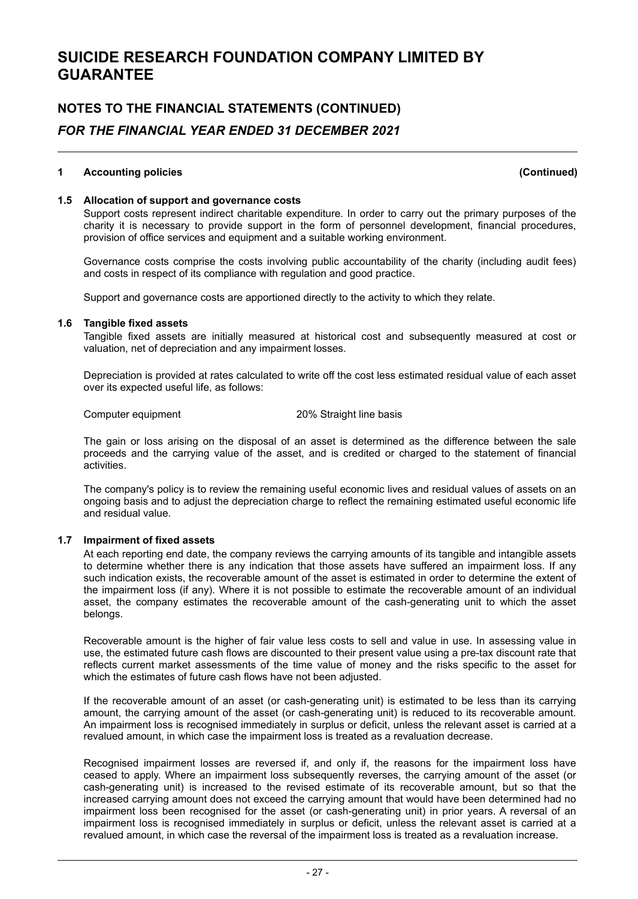# **NOTES TO THE FINANCIAL STATEMENTS (CONTINUED)** *FOR THE FINANCIAL YEAR ENDED 31 DECEMBER 2021*

## **1 Accounting policies (Continued)**

### **1.5 Allocation of support and governance costs**

Support costs represent indirect charitable expenditure. In order to carry out the primary purposes of the charity it is necessary to provide support in the form of personnel development, financial procedures, provision of office services and equipment and a suitable working environment.

Governance costs comprise the costs involving public accountability of the charity (including audit fees) and costs in respect of its compliance with regulation and good practice.

Support and governance costs are apportioned directly to the activity to which they relate.

### **1.6 Tangible fixed assets**

Tangible fixed assets are initially measured at historical cost and subsequently measured at cost or valuation, net of depreciation and any impairment losses.

Depreciation is provided at rates calculated to write off the cost less estimated residual value of each asset over its expected useful life, as follows:

Computer equipment 20% Straight line basis

The gain or loss arising on the disposal of an asset is determined as the difference between the sale proceeds and the carrying value of the asset, and is credited or charged to the statement of financial activities.

The company's policy is to review the remaining useful economic lives and residual values of assets on an ongoing basis and to adjust the depreciation charge to reflect the remaining estimated useful economic life and residual value.

### **1.7 Impairment of fixed assets**

At each reporting end date, the company reviews the carrying amounts of its tangible and intangible assets to determine whether there is any indication that those assets have suffered an impairment loss. If any such indication exists, the recoverable amount of the asset is estimated in order to determine the extent of the impairment loss (if any). Where it is not possible to estimate the recoverable amount of an individual asset, the company estimates the recoverable amount of the cash-generating unit to which the asset belongs.

Recoverable amount is the higher of fair value less costs to sell and value in use. In assessing value in use, the estimated future cash flows are discounted to their present value using a pre-tax discount rate that reflects current market assessments of the time value of money and the risks specific to the asset for which the estimates of future cash flows have not been adjusted.

If the recoverable amount of an asset (or cash-generating unit) is estimated to be less than its carrying amount, the carrying amount of the asset (or cash-generating unit) is reduced to its recoverable amount. An impairment loss is recognised immediately in surplus or deficit, unless the relevant asset is carried at a revalued amount, in which case the impairment loss is treated as a revaluation decrease.

Recognised impairment losses are reversed if, and only if, the reasons for the impairment loss have ceased to apply. Where an impairment loss subsequently reverses, the carrying amount of the asset (or cash-generating unit) is increased to the revised estimate of its recoverable amount, but so that the increased carrying amount does not exceed the carrying amount that would have been determined had no impairment loss been recognised for the asset (or cash-generating unit) in prior years. A reversal of an impairment loss is recognised immediately in surplus or deficit, unless the relevant asset is carried at a revalued amount, in which case the reversal of the impairment loss is treated as a revaluation increase.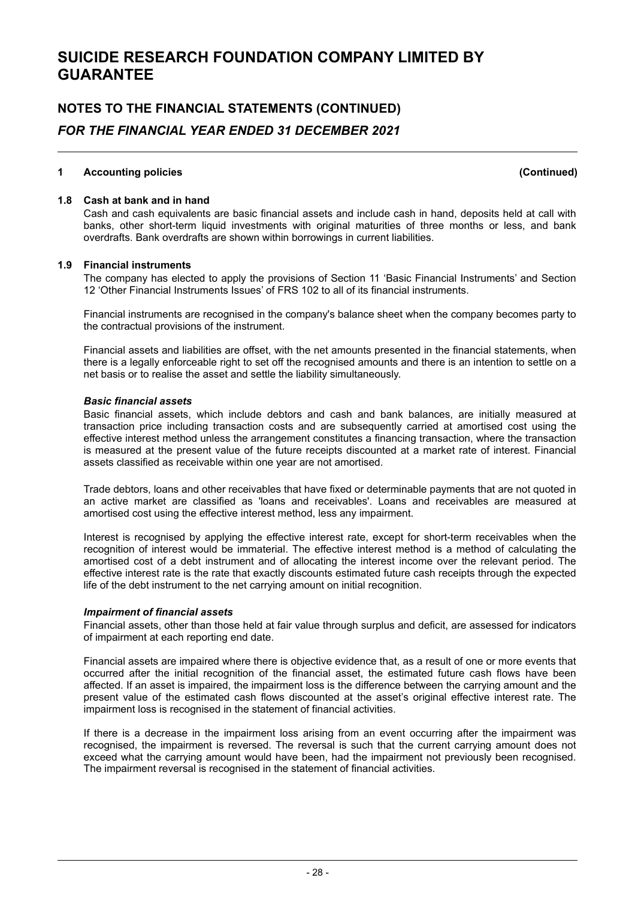# **NOTES TO THE FINANCIAL STATEMENTS (CONTINUED)** *FOR THE FINANCIAL YEAR ENDED 31 DECEMBER 2021*

## **1 Accounting policies (Continued)**

### **1.8 Cash at bank and in hand**

Cash and cash equivalents are basic financial assets and include cash in hand, deposits held at call with banks, other short-term liquid investments with original maturities of three months or less, and bank overdrafts. Bank overdrafts are shown within borrowings in current liabilities.

### **1.9 Financial instruments**

The company has elected to apply the provisions of Section 11 'Basic Financial Instruments' and Section 12 'Other Financial Instruments Issues' of FRS 102 to all of its financial instruments.

Financial instruments are recognised in the company's balance sheet when the company becomes party to the contractual provisions of the instrument.

Financial assets and liabilities are offset, with the net amounts presented in the financial statements, when there is a legally enforceable right to set off the recognised amounts and there is an intention to settle on a net basis or to realise the asset and settle the liability simultaneously.

#### *Basic financial assets*

Basic financial assets, which include debtors and cash and bank balances, are initially measured at transaction price including transaction costs and are subsequently carried at amortised cost using the effective interest method unless the arrangement constitutes a financing transaction, where the transaction is measured at the present value of the future receipts discounted at a market rate of interest. Financial assets classified as receivable within one year are not amortised.

Trade debtors, loans and other receivables that have fixed or determinable payments that are not quoted in an active market are classified as 'loans and receivables'. Loans and receivables are measured at amortised cost using the effective interest method, less any impairment.

Interest is recognised by applying the effective interest rate, except for short-term receivables when the recognition of interest would be immaterial. The effective interest method is a method of calculating the amortised cost of a debt instrument and of allocating the interest income over the relevant period. The effective interest rate is the rate that exactly discounts estimated future cash receipts through the expected life of the debt instrument to the net carrying amount on initial recognition.

#### *Impairment of financial assets*

Financial assets, other than those held at fair value through surplus and deficit, are assessed for indicators of impairment at each reporting end date.

Financial assets are impaired where there is objective evidence that, as a result of one or more events that occurred after the initial recognition of the financial asset, the estimated future cash flows have been affected. If an asset is impaired, the impairment loss is the difference between the carrying amount and the present value of the estimated cash flows discounted at the asset's original effective interest rate. The impairment loss is recognised in the statement of financial activities.

If there is a decrease in the impairment loss arising from an event occurring after the impairment was recognised, the impairment is reversed. The reversal is such that the current carrying amount does not exceed what the carrying amount would have been, had the impairment not previously been recognised. The impairment reversal is recognised in the statement of financial activities.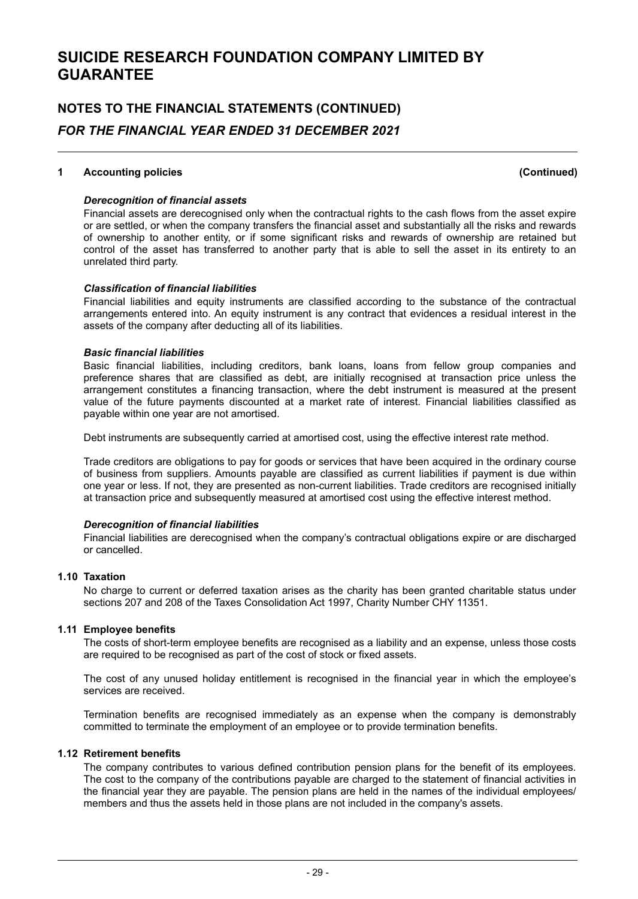# **NOTES TO THE FINANCIAL STATEMENTS (CONTINUED)** *FOR THE FINANCIAL YEAR ENDED 31 DECEMBER 2021*

## **1 Accounting policies (Continued)**

### *Derecognition of financial assets*

Financial assets are derecognised only when the contractual rights to the cash flows from the asset expire or are settled, or when the company transfers the financial asset and substantially all the risks and rewards of ownership to another entity, or if some significant risks and rewards of ownership are retained but control of the asset has transferred to another party that is able to sell the asset in its entirety to an unrelated third party.

### *Classification of financial liabilities*

Financial liabilities and equity instruments are classified according to the substance of the contractual arrangements entered into. An equity instrument is any contract that evidences a residual interest in the assets of the company after deducting all of its liabilities.

### *Basic financial liabilities*

Basic financial liabilities, including creditors, bank loans, loans from fellow group companies and preference shares that are classified as debt, are initially recognised at transaction price unless the arrangement constitutes a financing transaction, where the debt instrument is measured at the present value of the future payments discounted at a market rate of interest. Financial liabilities classified as payable within one year are not amortised.

Debt instruments are subsequently carried at amortised cost, using the effective interest rate method.

Trade creditors are obligations to pay for goods or services that have been acquired in the ordinary course of business from suppliers. Amounts payable are classified as current liabilities if payment is due within one year or less. If not, they are presented as non-current liabilities. Trade creditors are recognised initially at transaction price and subsequently measured at amortised cost using the effective interest method.

### *Derecognition of financial liabilities*

Financial liabilities are derecognised when the company's contractual obligations expire or are discharged or cancelled.

### **1.10 Taxation**

No charge to current or deferred taxation arises as the charity has been granted charitable status under sections 207 and 208 of the Taxes Consolidation Act 1997, Charity Number CHY 11351.

### **1.11 Employee benefits**

The costs of short-term employee benefits are recognised as a liability and an expense, unless those costs are required to be recognised as part of the cost of stock or fixed assets.

The cost of any unused holiday entitlement is recognised in the financial year in which the employee's services are received.

Termination benefits are recognised immediately as an expense when the company is demonstrably committed to terminate the employment of an employee or to provide termination benefits.

## **1.12 Retirement benefits**

The company contributes to various defined contribution pension plans for the benefit of its employees. The cost to the company of the contributions payable are charged to the statement of financial activities in the financial year they are payable. The pension plans are held in the names of the individual employees/ members and thus the assets held in those plans are not included in the company's assets.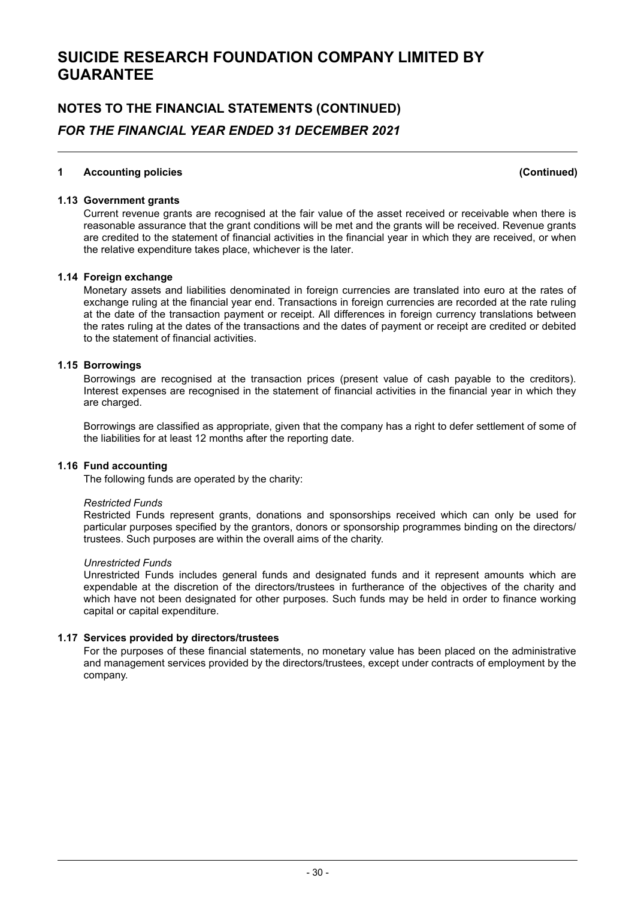# **NOTES TO THE FINANCIAL STATEMENTS (CONTINUED)** *FOR THE FINANCIAL YEAR ENDED 31 DECEMBER 2021*

## **1 Accounting policies (Continued)**

### **1.13 Government grants**

Current revenue grants are recognised at the fair value of the asset received or receivable when there is reasonable assurance that the grant conditions will be met and the grants will be received. Revenue grants are credited to the statement of financial activities in the financial year in which they are received, or when the relative expenditure takes place, whichever is the later.

### **1.14 Foreign exchange**

Monetary assets and liabilities denominated in foreign currencies are translated into euro at the rates of exchange ruling at the financial year end. Transactions in foreign currencies are recorded at the rate ruling at the date of the transaction payment or receipt. All differences in foreign currency translations between the rates ruling at the dates of the transactions and the dates of payment or receipt are credited or debited to the statement of financial activities.

### **1.15 Borrowings**

Borrowings are recognised at the transaction prices (present value of cash payable to the creditors). Interest expenses are recognised in the statement of financial activities in the financial year in which they are charged.

Borrowings are classified as appropriate, given that the company has a right to defer settlement of some of the liabilities for at least 12 months after the reporting date.

### **1.16 Fund accounting**

The following funds are operated by the charity:

### *Restricted Funds*

Restricted Funds represent grants, donations and sponsorships received which can only be used for particular purposes specified by the grantors, donors or sponsorship programmes binding on the directors/ trustees. Such purposes are within the overall aims of the charity.

### *Unrestricted Funds*

Unrestricted Funds includes general funds and designated funds and it represent amounts which are expendable at the discretion of the directors/trustees in furtherance of the objectives of the charity and which have not been designated for other purposes. Such funds may be held in order to finance working capital or capital expenditure.

### **1.17 Services provided by directors/trustees**

For the purposes of these financial statements, no monetary value has been placed on the administrative and management services provided by the directors/trustees, except under contracts of employment by the company.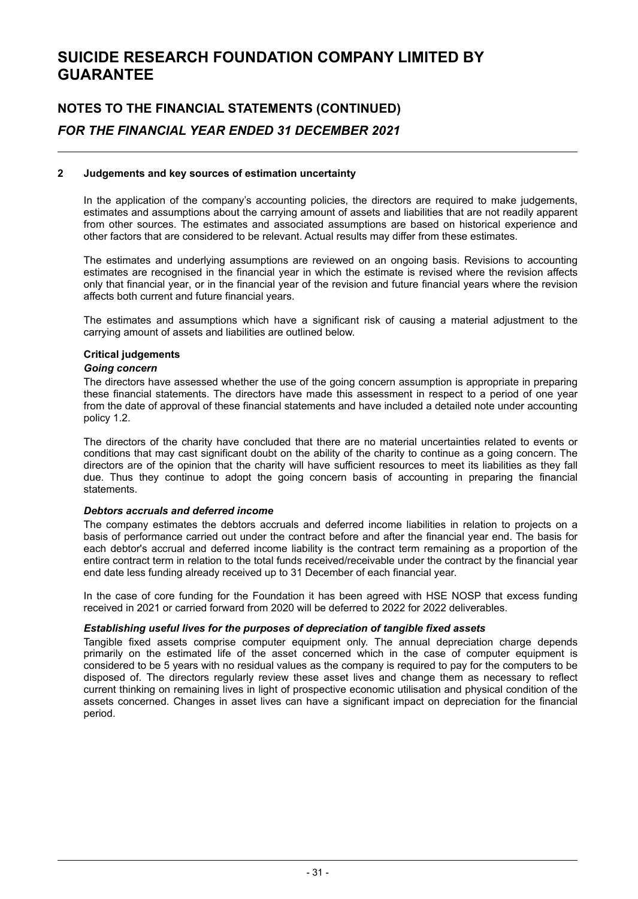# **NOTES TO THE FINANCIAL STATEMENTS (CONTINUED)** *FOR THE FINANCIAL YEAR ENDED 31 DECEMBER 2021*

### **2 Judgements and key sources of estimation uncertainty**

In the application of the company's accounting policies, the directors are required to make judgements, estimates and assumptions about the carrying amount of assets and liabilities that are not readily apparent from other sources. The estimates and associated assumptions are based on historical experience and other factors that are considered to be relevant. Actual results may differ from these estimates.

The estimates and underlying assumptions are reviewed on an ongoing basis. Revisions to accounting estimates are recognised in the financial year in which the estimate is revised where the revision affects only that financial year, or in the financial year of the revision and future financial years where the revision affects both current and future financial years.

The estimates and assumptions which have a significant risk of causing a material adjustment to the carrying amount of assets and liabilities are outlined below.

## **Critical judgements**

### *Going concern*

The directors have assessed whether the use of the going concern assumption is appropriate in preparing these financial statements. The directors have made this assessment in respect to a period of one year from the date of approval of these financial statements and have included a detailed note under accounting policy 1.2.

The directors of the charity have concluded that there are no material uncertainties related to events or conditions that may cast significant doubt on the ability of the charity to continue as a going concern. The directors are of the opinion that the charity will have sufficient resources to meet its liabilities as they fall due. Thus they continue to adopt the going concern basis of accounting in preparing the financial statements.

### *Debtors accruals and deferred income*

The company estimates the debtors accruals and deferred income liabilities in relation to projects on a basis of performance carried out under the contract before and after the financial year end. The basis for each debtor's accrual and deferred income liability is the contract term remaining as a proportion of the entire contract term in relation to the total funds received/receivable under the contract by the financial year end date less funding already received up to 31 December of each financial year.

In the case of core funding for the Foundation it has been agreed with HSE NOSP that excess funding received in 2021 or carried forward from 2020 will be deferred to 2022 for 2022 deliverables.

### *Establishing useful lives for the purposes of depreciation of tangible fixed assets*

Tangible fixed assets comprise computer equipment only. The annual depreciation charge depends primarily on the estimated life of the asset concerned which in the case of computer equipment is considered to be 5 years with no residual values as the company is required to pay for the computers to be disposed of. The directors regularly review these asset lives and change them as necessary to reflect current thinking on remaining lives in light of prospective economic utilisation and physical condition of the assets concerned. Changes in asset lives can have a significant impact on depreciation for the financial period.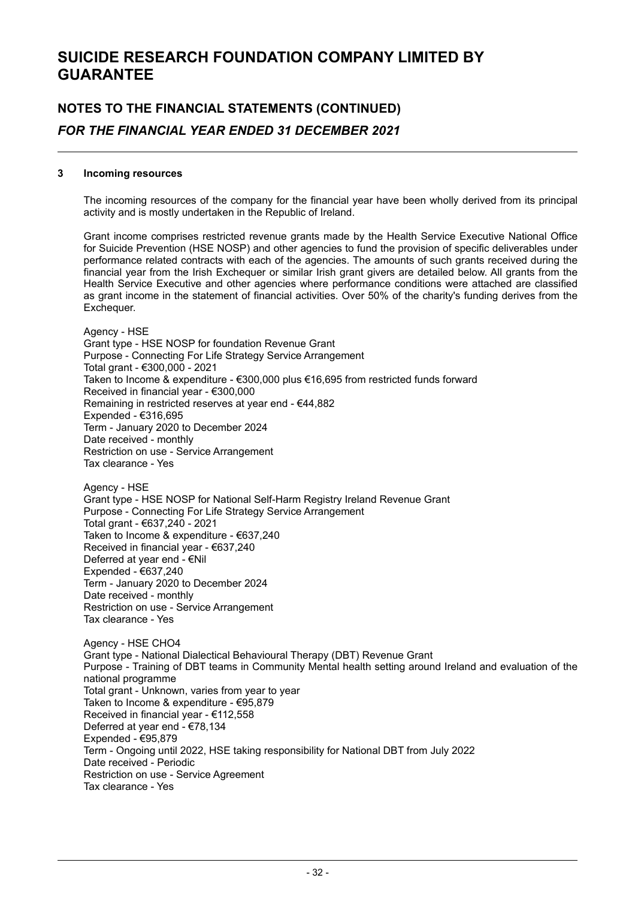# **NOTES TO THE FINANCIAL STATEMENTS (CONTINUED)** *FOR THE FINANCIAL YEAR ENDED 31 DECEMBER 2021*

### **3 Incoming resources**

The incoming resources of the company for the financial year have been wholly derived from its principal activity and is mostly undertaken in the Republic of Ireland.

Grant income comprises restricted revenue grants made by the Health Service Executive National Office for Suicide Prevention (HSE NOSP) and other agencies to fund the provision of specific deliverables under performance related contracts with each of the agencies. The amounts of such grants received during the financial year from the Irish Exchequer or similar Irish grant givers are detailed below. All grants from the Health Service Executive and other agencies where performance conditions were attached are classified as grant income in the statement of financial activities. Over 50% of the charity's funding derives from the Exchequer.

Agency - HSE Grant type - HSE NOSP for foundation Revenue Grant Purpose - Connecting For Life Strategy Service Arrangement Total grant - €300,000 - 2021 Taken to Income & expenditure - €300,000 plus €16,695 from restricted funds forward Received in financial year - €300,000 Remaining in restricted reserves at year end - €44,882 Expended - €316,695 Term - January 2020 to December 2024 Date received - monthly Restriction on use - Service Arrangement Tax clearance - Yes Agency - HSE Grant type - HSE NOSP for National Self-Harm Registry Ireland Revenue Grant Purpose - Connecting For Life Strategy Service Arrangement Total grant - €637,240 - 2021 Taken to Income & expenditure - €637,240 Received in financial year - €637,240 Deferred at year end - €Nil Expended - €637,240 Term - January 2020 to December 2024 Date received - monthly Restriction on use - Service Arrangement Tax clearance - Yes Agency - HSE CHO4 Grant type - National Dialectical Behavioural Therapy (DBT) Revenue Grant Purpose - Training of DBT teams in Community Mental health setting around Ireland and evaluation of the national programme Total grant - Unknown, varies from year to year Taken to Income & expenditure - €95,879 Received in financial year - €112,558 Deferred at year end - €78,134 Expended - €95,879 Term - Ongoing until 2022, HSE taking responsibility for National DBT from July 2022 Date received - Periodic Restriction on use - Service Agreement

Tax clearance - Yes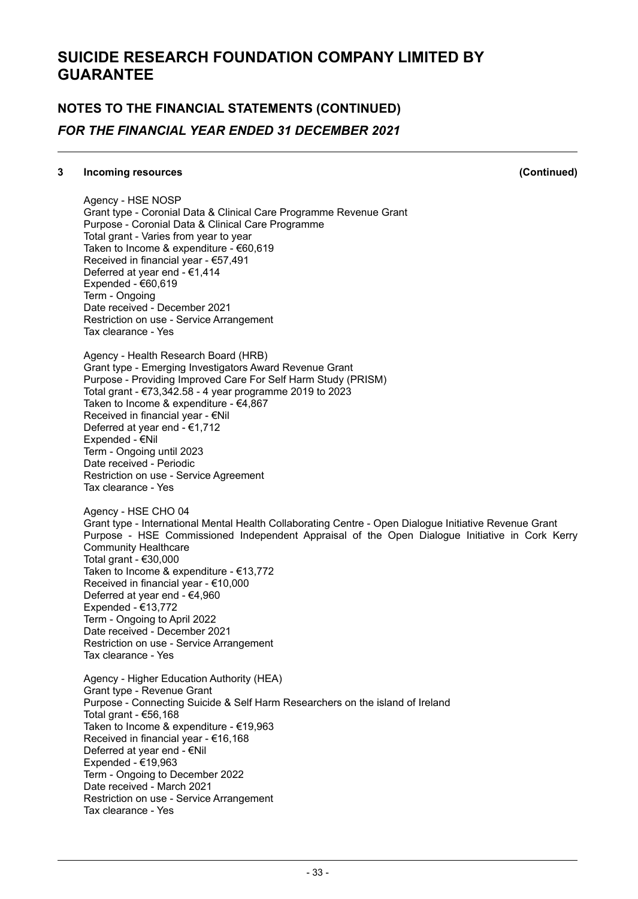# **NOTES TO THE FINANCIAL STATEMENTS (CONTINUED)** *FOR THE FINANCIAL YEAR ENDED 31 DECEMBER 2021*

### **3 Incoming resources (Continued)**

Agency - HSE NOSP Grant type - Coronial Data & Clinical Care Programme Revenue Grant Purpose - Coronial Data & Clinical Care Programme Total grant - Varies from year to year Taken to Income & expenditure - €60,619 Received in financial year - €57,491 Deferred at year end - €1,414 Expended - €60,619 Term - Ongoing Date received - December 2021 Restriction on use - Service Arrangement Tax clearance - Yes Agency - Health Research Board (HRB) Grant type - Emerging Investigators Award Revenue Grant Purpose - Providing Improved Care For Self Harm Study (PRISM) Total grant - €73,342.58 - 4 year programme 2019 to 2023 Taken to Income & expenditure - €4,867 Received in financial year - €Nil Deferred at year end - €1,712 Expended - €Nil Term - Ongoing until 2023 Date received - Periodic Restriction on use - Service Agreement Tax clearance - Yes Agency - HSE CHO 04 Grant type - International Mental Health Collaborating Centre - Open Dialogue Initiative Revenue Grant Purpose - HSE Commissioned Independent Appraisal of the Open Dialogue Initiative in Cork Kerry Community Healthcare Total grant - €30,000 Taken to Income & expenditure - €13,772 Received in financial year - €10,000 Deferred at year end - €4,960 Expended - €13,772 Term - Ongoing to April 2022 Date received - December 2021 Restriction on use - Service Arrangement Tax clearance - Yes Agency - Higher Education Authority (HEA) Grant type - Revenue Grant Purpose - Connecting Suicide & Self Harm Researchers on the island of Ireland Total grant - €56,168 Taken to Income & expenditure - €19,963 Received in financial year - €16,168 Deferred at year end - €Nil Expended - €19,963 Term - Ongoing to December 2022 Date received - March 2021 Restriction on use - Service Arrangement Tax clearance - Yes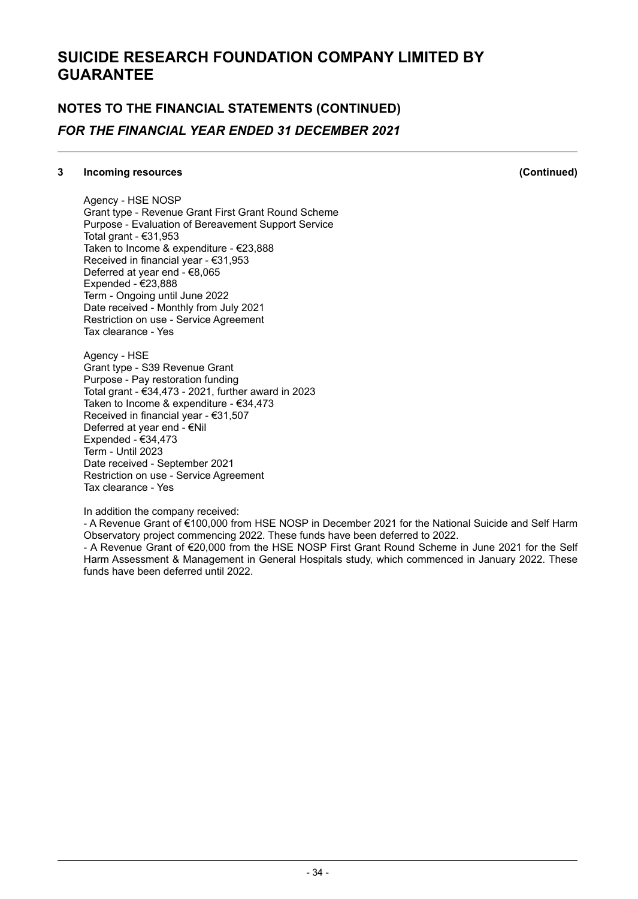# **NOTES TO THE FINANCIAL STATEMENTS (CONTINUED)** *FOR THE FINANCIAL YEAR ENDED 31 DECEMBER 2021*

## **3 Incoming resources (Continued)**

Agency - HSE NOSP Grant type - Revenue Grant First Grant Round Scheme Purpose - Evaluation of Bereavement Support Service Total grant - €31,953 Taken to Income & expenditure - €23,888 Received in financial year - €31,953 Deferred at year end - €8,065 Expended - €23,888 Term - Ongoing until June 2022 Date received - Monthly from July 2021 Restriction on use - Service Agreement Tax clearance - Yes

Agency - HSE Grant type - S39 Revenue Grant Purpose - Pay restoration funding Total grant - €34,473 - 2021, further award in 2023 Taken to Income & expenditure - €34,473 Received in financial year - €31,507 Deferred at year end - €Nil Expended -  $\epsilon$ 34,473 Term - Until 2023 Date received - September 2021 Restriction on use - Service Agreement Tax clearance - Yes

In addition the company received:

- A Revenue Grant of €100,000 from HSE NOSP in December 2021 for the National Suicide and Self Harm Observatory project commencing 2022. These funds have been deferred to 2022.

- A Revenue Grant of €20,000 from the HSE NOSP First Grant Round Scheme in June 2021 for the Self Harm Assessment & Management in General Hospitals study, which commenced in January 2022. These funds have been deferred until 2022.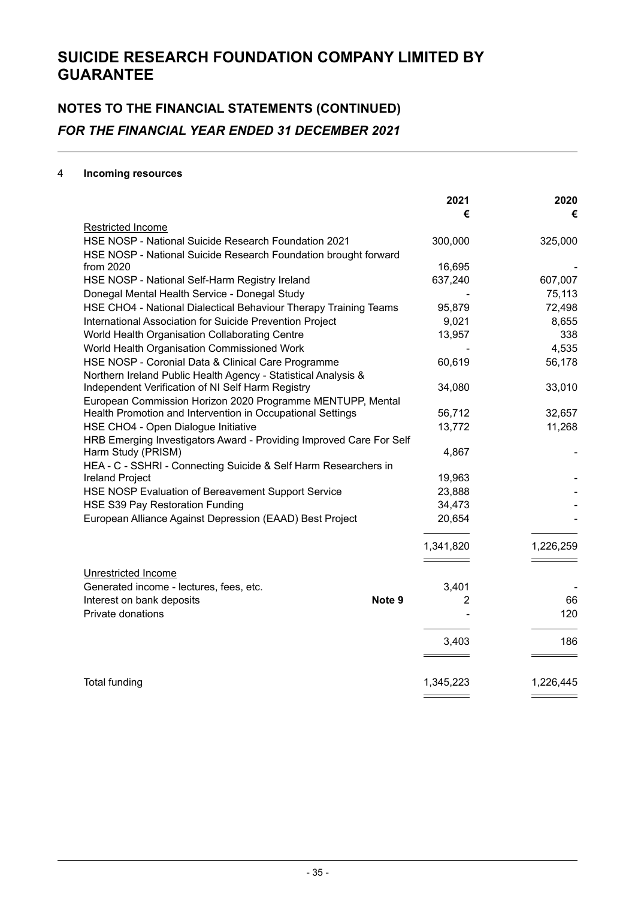# **NOTES TO THE FINANCIAL STATEMENTS (CONTINUED)** *FOR THE FINANCIAL YEAR ENDED 31 DECEMBER 2021*

## 4 **Incoming resources**

|                                                                     | 2021        | 2020      |
|---------------------------------------------------------------------|-------------|-----------|
|                                                                     | €           | €         |
| <b>Restricted Income</b>                                            |             |           |
| HSE NOSP - National Suicide Research Foundation 2021                | 300,000     | 325,000   |
| HSE NOSP - National Suicide Research Foundation brought forward     |             |           |
| from 2020                                                           | 16,695      |           |
| HSE NOSP - National Self-Harm Registry Ireland                      | 637,240     | 607,007   |
| Donegal Mental Health Service - Donegal Study                       |             | 75,113    |
| HSE CHO4 - National Dialectical Behaviour Therapy Training Teams    | 95,879      | 72,498    |
| International Association for Suicide Prevention Project            | 9,021       | 8,655     |
| World Health Organisation Collaborating Centre                      | 13,957      | 338       |
| World Health Organisation Commissioned Work                         |             | 4,535     |
| HSE NOSP - Coronial Data & Clinical Care Programme                  | 60,619      | 56,178    |
| Northern Ireland Public Health Agency - Statistical Analysis &      |             |           |
| Independent Verification of NI Self Harm Registry                   | 34,080      | 33,010    |
| European Commission Horizon 2020 Programme MENTUPP, Mental          |             |           |
| Health Promotion and Intervention in Occupational Settings          | 56,712      | 32,657    |
| HSE CHO4 - Open Dialogue Initiative                                 | 13,772      | 11,268    |
| HRB Emerging Investigators Award - Providing Improved Care For Self |             |           |
| Harm Study (PRISM)                                                  | 4,867       |           |
| HEA - C - SSHRI - Connecting Suicide & Self Harm Researchers in     | 19,963      |           |
| <b>Ireland Project</b>                                              |             |           |
| HSE NOSP Evaluation of Bereavement Support Service                  | 23,888      |           |
| <b>HSE S39 Pay Restoration Funding</b>                              | 34,473      |           |
| European Alliance Against Depression (EAAD) Best Project            | 20,654      |           |
|                                                                     | 1,341,820   | 1,226,259 |
|                                                                     |             |           |
| Unrestricted Income                                                 |             |           |
| Generated income - lectures, fees, etc.                             | 3,401       |           |
| Interest on bank deposits                                           | Note 9<br>2 | 66        |
| Private donations                                                   |             | 120       |
|                                                                     | 3,403       | 186       |
|                                                                     |             |           |
| <b>Total funding</b>                                                | 1,345,223   | 1,226,445 |
|                                                                     |             |           |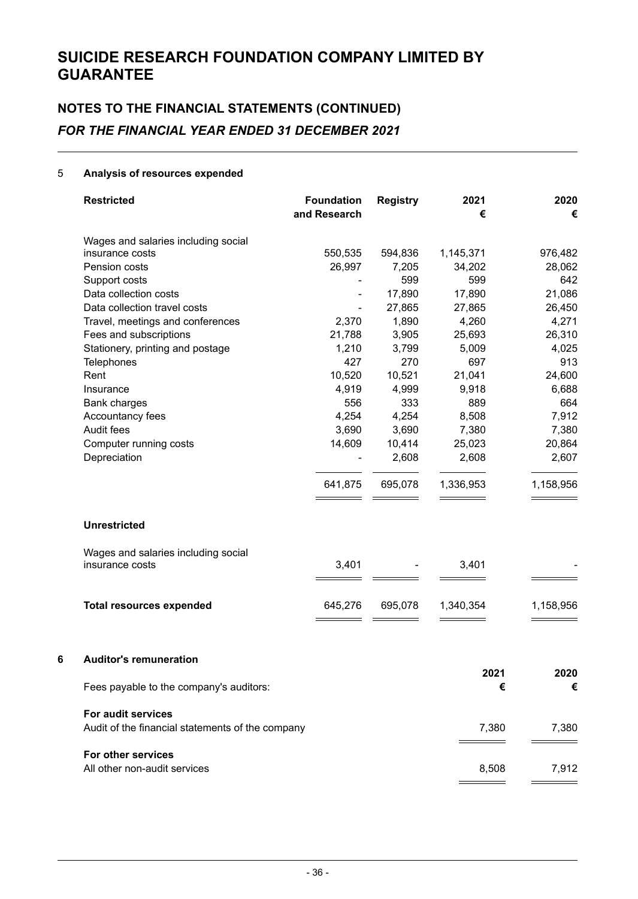# **NOTES TO THE FINANCIAL STATEMENTS (CONTINUED)** *FOR THE FINANCIAL YEAR ENDED 31 DECEMBER 2021*

## 5 **Analysis of resources expended**

|   | <b>Restricted</b>                                  | <b>Foundation</b><br>and Research | <b>Registry</b> | 2021<br>€ | 2020<br>€ |
|---|----------------------------------------------------|-----------------------------------|-----------------|-----------|-----------|
|   | Wages and salaries including social                |                                   |                 |           |           |
|   | insurance costs                                    | 550,535                           | 594,836         | 1,145,371 | 976,482   |
|   | Pension costs                                      | 26,997                            | 7,205           | 34,202    | 28,062    |
|   | Support costs                                      | $\qquad \qquad \blacksquare$      | 599             | 599       | 642       |
|   | Data collection costs                              | $\qquad \qquad \blacksquare$      | 17,890          | 17,890    | 21,086    |
|   | Data collection travel costs                       | ÷,                                | 27,865          | 27,865    | 26,450    |
|   | Travel, meetings and conferences                   | 2,370                             | 1,890           | 4,260     | 4,271     |
|   | Fees and subscriptions                             | 21,788                            | 3,905           | 25,693    | 26,310    |
|   | Stationery, printing and postage                   | 1,210                             | 3,799           | 5,009     | 4,025     |
|   | Telephones                                         | 427                               | 270             | 697       | 913       |
|   | Rent                                               | 10,520                            | 10,521          | 21,041    | 24,600    |
|   | Insurance                                          | 4,919                             | 4,999           | 9,918     | 6,688     |
|   | Bank charges                                       | 556                               | 333             | 889       | 664       |
|   | Accountancy fees                                   | 4,254                             | 4,254           | 8,508     | 7,912     |
|   | Audit fees                                         | 3,690                             | 3,690           | 7,380     | 7,380     |
|   | Computer running costs                             | 14,609                            | 10,414          | 25,023    | 20,864    |
|   | Depreciation                                       |                                   | 2,608           | 2,608     | 2,607     |
|   |                                                    | 641,875                           | 695,078         | 1,336,953 | 1,158,956 |
|   | <b>Unrestricted</b>                                |                                   |                 |           |           |
|   | Wages and salaries including social                |                                   |                 |           |           |
|   | insurance costs                                    | 3,401                             |                 | 3,401     |           |
|   |                                                    |                                   |                 |           |           |
|   | <b>Total resources expended</b>                    | 645,276                           | 695,078         | 1,340,354 | 1,158,956 |
|   |                                                    |                                   |                 |           |           |
| 6 | <b>Auditor's remuneration</b>                      |                                   |                 | 2021      | 2020      |
|   | Fees payable to the company's auditors:            |                                   |                 | €         | €         |
|   | For audit services                                 |                                   |                 |           |           |
|   | Audit of the financial statements of the company   |                                   |                 | 7,380     | 7,380     |
|   | For other services<br>All other non-audit services |                                   |                 |           |           |
|   |                                                    |                                   |                 | 8,508     | 7,912     |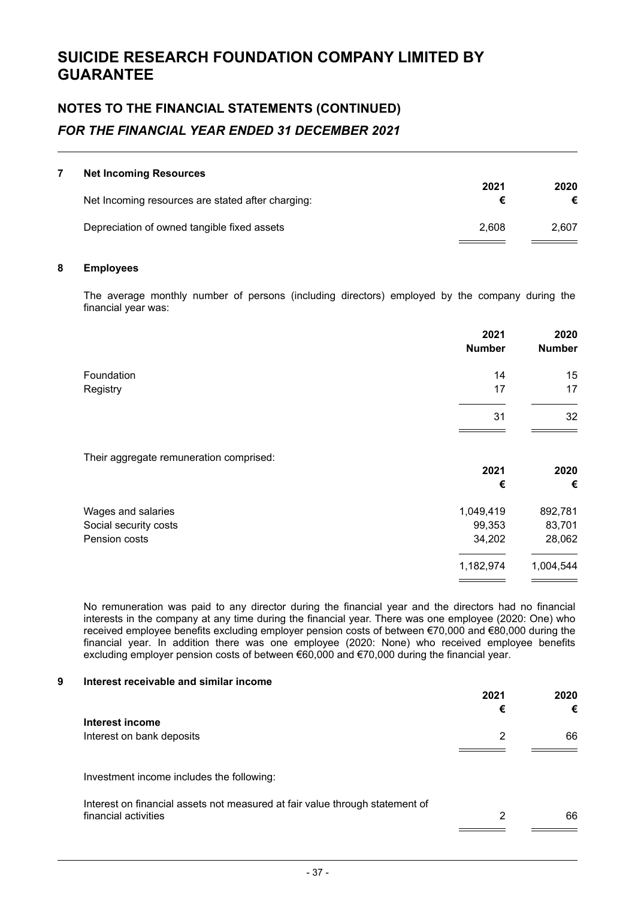# **NOTES TO THE FINANCIAL STATEMENTS (CONTINUED)** *FOR THE FINANCIAL YEAR ENDED 31 DECEMBER 2021*

### **7 Net Incoming Resources**

| Net Incoming resources are stated after charging: | 2021  | 2020<br>€ |
|---------------------------------------------------|-------|-----------|
| Depreciation of owned tangible fixed assets       | 2.608 | 2.607     |

### **8 Employees**

The average monthly number of persons (including directors) employed by the company during the financial year was:

|                                         | 2021<br><b>Number</b> | 2020<br><b>Number</b> |
|-----------------------------------------|-----------------------|-----------------------|
| Foundation                              | 14                    | 15                    |
| Registry                                | 17                    | 17                    |
|                                         | 31                    | 32                    |
| Their aggregate remuneration comprised: |                       |                       |
|                                         | 2021<br>€             | 2020<br>€             |
| Wages and salaries                      | 1,049,419             | 892,781               |
| Social security costs                   | 99,353                | 83,701                |
| Pension costs                           | 34,202                | 28,062                |
|                                         | 1,182,974             | 1,004,544             |

No remuneration was paid to any director during the financial year and the directors had no financial interests in the company at any time during the financial year. There was one employee (2020: One) who received employee benefits excluding employer pension costs of between €70,000 and €80,000 during the financial year. In addition there was one employee (2020: None) who received employee benefits excluding employer pension costs of between €60,000 and €70,000 during the financial year.

### **9 Interest receivable and similar income**

|                                           | 2021 | 2020 |
|-------------------------------------------|------|------|
|                                           | €    | €    |
| Interest income                           |      |      |
| Interest on bank deposits                 |      | 66   |
|                                           |      |      |
| Investment income includes the following: |      |      |
|                                           |      |      |

Interest on financial assets not measured at fair value through statement of financial activities 2 66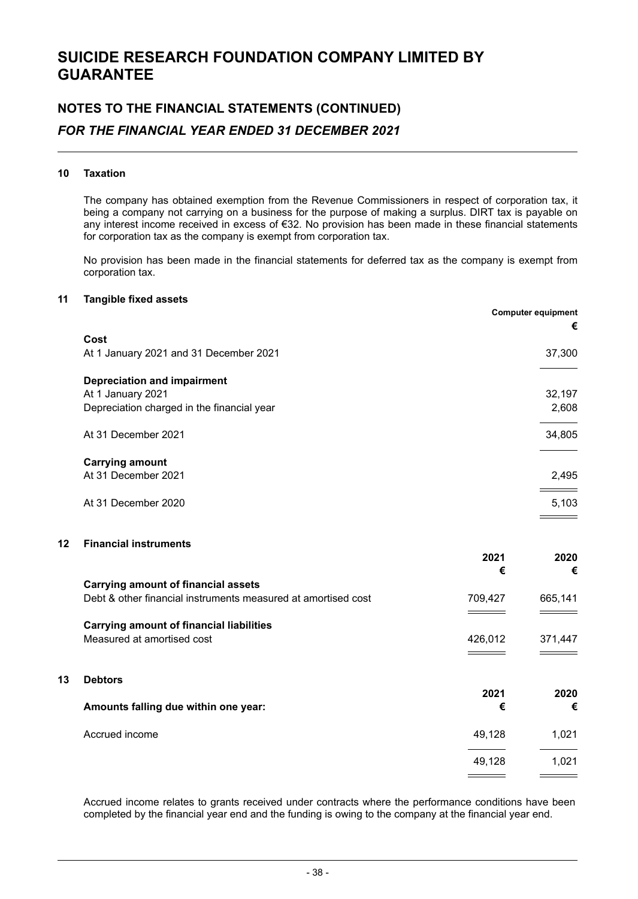# **NOTES TO THE FINANCIAL STATEMENTS (CONTINUED)** *FOR THE FINANCIAL YEAR ENDED 31 DECEMBER 2021*

## **10 Taxation**

The company has obtained exemption from the Revenue Commissioners in respect of corporation tax, it being a company not carrying on a business for the purpose of making a surplus. DIRT tax is payable on any interest income received in excess of €32. No provision has been made in these financial statements for corporation tax as the company is exempt from corporation tax.

No provision has been made in the financial statements for deferred tax as the company is exempt from corporation tax.

### **11 Tangible fixed assets**

|    |                                                               |         | <b>Computer equipment</b> |
|----|---------------------------------------------------------------|---------|---------------------------|
|    | Cost                                                          |         | €                         |
|    |                                                               |         |                           |
|    | At 1 January 2021 and 31 December 2021                        |         | 37,300                    |
|    | <b>Depreciation and impairment</b>                            |         |                           |
|    | At 1 January 2021                                             |         | 32,197                    |
|    | Depreciation charged in the financial year                    |         | 2,608                     |
|    |                                                               |         |                           |
|    | At 31 December 2021                                           |         | 34,805                    |
|    |                                                               |         |                           |
|    | <b>Carrying amount</b>                                        |         |                           |
|    | At 31 December 2021                                           |         | 2,495                     |
|    |                                                               |         |                           |
|    | At 31 December 2020                                           |         | 5,103                     |
| 12 | <b>Financial instruments</b>                                  |         |                           |
|    |                                                               | 2021    | 2020                      |
|    |                                                               | €       | €                         |
|    | <b>Carrying amount of financial assets</b>                    |         |                           |
|    | Debt & other financial instruments measured at amortised cost | 709,427 | 665,141                   |
|    |                                                               |         |                           |
|    | <b>Carrying amount of financial liabilities</b>               |         |                           |
|    | Measured at amortised cost                                    | 426,012 | 371,447                   |
|    |                                                               |         |                           |
| 13 | <b>Debtors</b>                                                |         |                           |
|    |                                                               | 2021    | 2020                      |
|    | Amounts falling due within one year:                          | €       | €                         |
|    |                                                               |         |                           |
|    | Accrued income                                                | 49,128  | 1,021                     |
|    |                                                               | 49,128  | 1,021                     |
|    |                                                               |         |                           |

Accrued income relates to grants received under contracts where the performance conditions have been completed by the financial year end and the funding is owing to the company at the financial year end.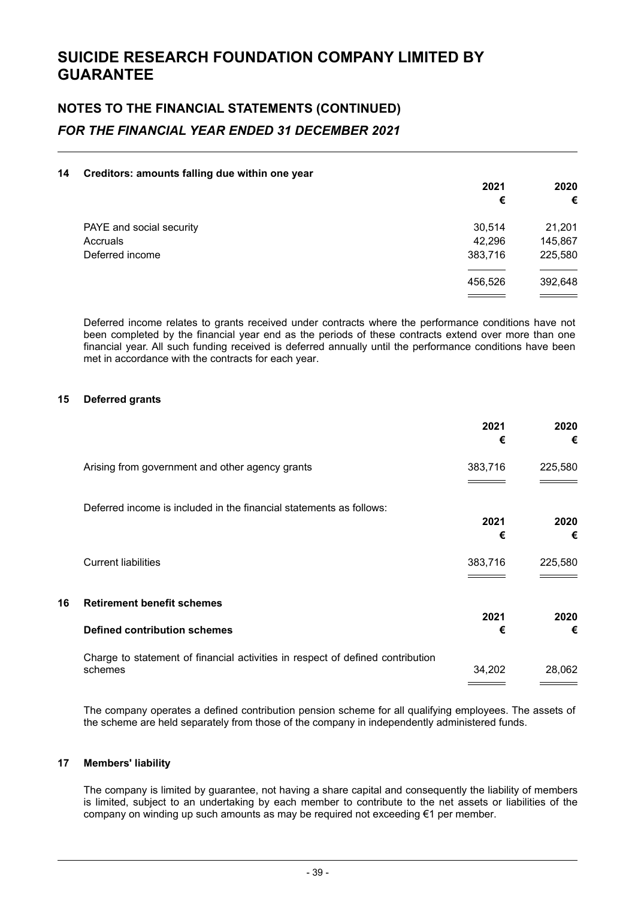# **NOTES TO THE FINANCIAL STATEMENTS (CONTINUED)** *FOR THE FINANCIAL YEAR ENDED 31 DECEMBER 2021*

### **14 Creditors: amounts falling due within one year**

|                          | 2021    | 2020    |
|--------------------------|---------|---------|
|                          | €       | €       |
| PAYE and social security | 30,514  | 21,201  |
| Accruals                 | 42,296  | 145,867 |
| Deferred income          | 383,716 | 225,580 |
|                          | 456,526 | 392,648 |
|                          |         |         |

Deferred income relates to grants received under contracts where the performance conditions have not been completed by the financial year end as the periods of these contracts extend over more than one financial year. All such funding received is deferred annually until the performance conditions have been met in accordance with the contracts for each year.

### **15 Deferred grants**

|    |                                                                                           | 2021<br>€ | 2020<br>€ |
|----|-------------------------------------------------------------------------------------------|-----------|-----------|
|    | Arising from government and other agency grants                                           | 383,716   | 225,580   |
|    | Deferred income is included in the financial statements as follows:                       | 2021<br>€ | 2020<br>€ |
|    | <b>Current liabilities</b>                                                                | 383,716   | 225,580   |
| 16 | <b>Retirement benefit schemes</b>                                                         |           |           |
|    | <b>Defined contribution schemes</b>                                                       | 2021<br>€ | 2020<br>€ |
|    | Charge to statement of financial activities in respect of defined contribution<br>schemes | 34,202    | 28,062    |

The company operates a defined contribution pension scheme for all qualifying employees. The assets of the scheme are held separately from those of the company in independently administered funds.

### **17 Members' liability**

The company is limited by guarantee, not having a share capital and consequently the liability of members is limited, subject to an undertaking by each member to contribute to the net assets or liabilities of the company on winding up such amounts as may be required not exceeding €1 per member.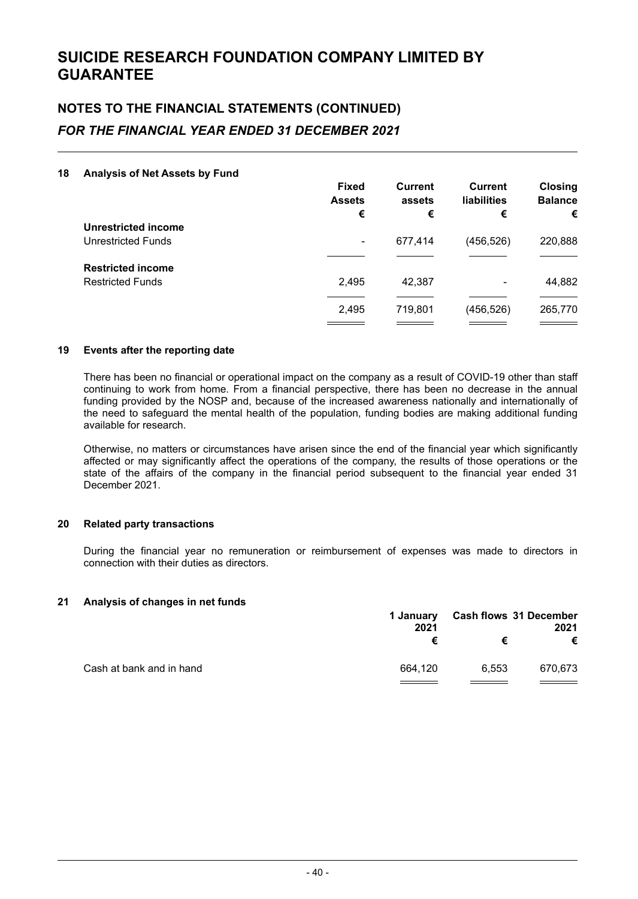# **NOTES TO THE FINANCIAL STATEMENTS (CONTINUED)** *FOR THE FINANCIAL YEAR ENDED 31 DECEMBER 2021*

### **18 Analysis of Net Assets by Fund**

|                           | <b>Fixed</b><br><b>Assets</b> | <b>Current</b><br>assets | <b>Current</b><br><b>liabilities</b> | <b>Closing</b><br><b>Balance</b> |
|---------------------------|-------------------------------|--------------------------|--------------------------------------|----------------------------------|
|                           | €                             | €                        | €                                    | €                                |
| Unrestricted income       |                               |                          |                                      |                                  |
| <b>Unrestricted Funds</b> | $\blacksquare$                | 677,414                  | (456, 526)                           | 220,888                          |
|                           |                               |                          |                                      |                                  |
| <b>Restricted income</b>  |                               |                          |                                      |                                  |
| <b>Restricted Funds</b>   | 2,495                         | 42,387                   | ۰                                    | 44,882                           |
|                           |                               |                          |                                      |                                  |
|                           | 2,495                         | 719,801                  | (456, 526)                           | 265,770                          |
|                           |                               |                          |                                      |                                  |

### **19 Events after the reporting date**

There has been no financial or operational impact on the company as a result of COVID-19 other than staff continuing to work from home. From a financial perspective, there has been no decrease in the annual funding provided by the NOSP and, because of the increased awareness nationally and internationally of the need to safeguard the mental health of the population, funding bodies are making additional funding available for research.

Otherwise, no matters or circumstances have arisen since the end of the financial year which significantly affected or may significantly affect the operations of the company, the results of those operations or the state of the affairs of the company in the financial period subsequent to the financial year ended 31 December 2021.

### **20 Related party transactions**

During the financial year no remuneration or reimbursement of expenses was made to directors in connection with their duties as directors.

### **21 Analysis of changes in net funds**

|                          | 2021    | 1 January Cash flows 31 December | 2021    |  |
|--------------------------|---------|----------------------------------|---------|--|
|                          |         | €                                | €       |  |
| Cash at bank and in hand | 664.120 | 6.553                            | 670.673 |  |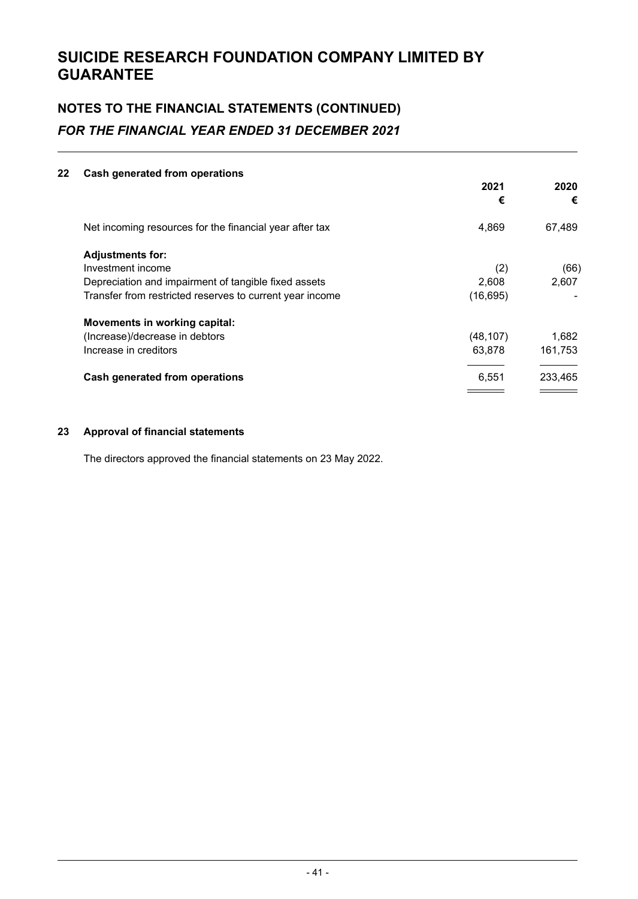# **NOTES TO THE FINANCIAL STATEMENTS (CONTINUED)** *FOR THE FINANCIAL YEAR ENDED 31 DECEMBER 2021*

## **22 Cash generated from operations**

|                                                          | 2021<br>€ | 2020<br>€ |
|----------------------------------------------------------|-----------|-----------|
| Net incoming resources for the financial year after tax  | 4,869     | 67,489    |
| <b>Adjustments for:</b>                                  |           |           |
| Investment income                                        | (2)       | (66)      |
| Depreciation and impairment of tangible fixed assets     | 2,608     | 2,607     |
| Transfer from restricted reserves to current year income | (16, 695) |           |
| Movements in working capital:                            |           |           |
| (Increase)/decrease in debtors                           | (48,107)  | 1,682     |
| Increase in creditors                                    | 63,878    | 161,753   |
| Cash generated from operations                           | 6,551     | 233,465   |
|                                                          |           |           |

### **23 Approval of financial statements**

The directors approved the financial statements on 23 May 2022.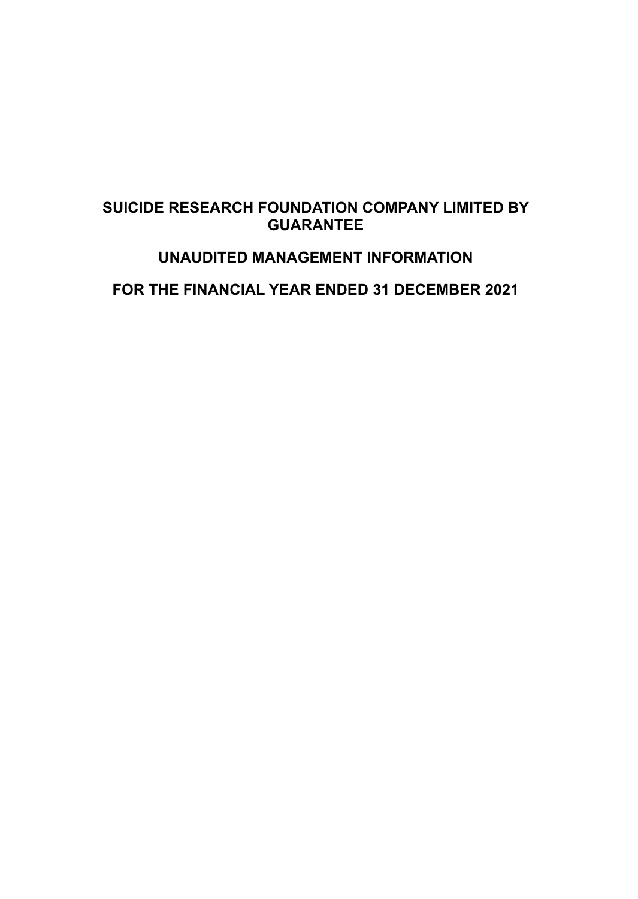# **UNAUDITED MANAGEMENT INFORMATION**

**FOR THE FINANCIAL YEAR ENDED 31 DECEMBER 2021**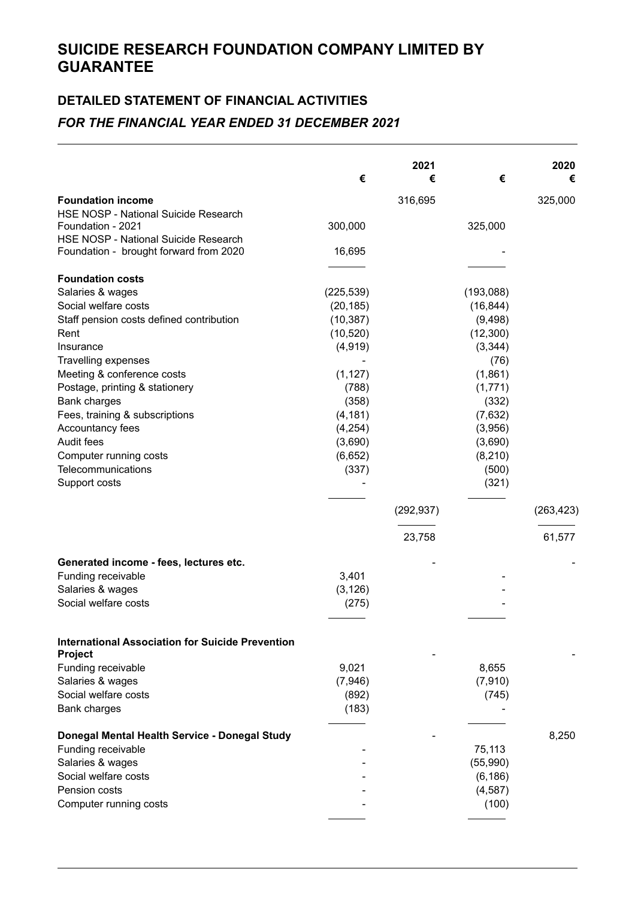# **DETAILED STATEMENT OF FINANCIAL ACTIVITIES** *FOR THE FINANCIAL YEAR ENDED 31 DECEMBER 2021*

|                                                                    | €          | 2021<br>€  | €         | 2020<br>€  |
|--------------------------------------------------------------------|------------|------------|-----------|------------|
| <b>Foundation income</b>                                           |            | 316,695    |           | 325,000    |
| HSE NOSP - National Suicide Research                               |            |            |           |            |
| Foundation - 2021                                                  | 300,000    |            | 325,000   |            |
| <b>HSE NOSP - National Suicide Research</b>                        |            |            |           |            |
| Foundation - brought forward from 2020                             | 16,695     |            |           |            |
| <b>Foundation costs</b>                                            |            |            |           |            |
| Salaries & wages                                                   | (225, 539) |            | (193,088) |            |
| Social welfare costs                                               | (20, 185)  |            | (16, 844) |            |
| Staff pension costs defined contribution                           | (10, 387)  |            | (9,498)   |            |
| Rent                                                               | (10, 520)  |            | (12,300)  |            |
| Insurance                                                          | (4, 919)   |            | (3, 344)  |            |
| <b>Travelling expenses</b>                                         |            |            | (76)      |            |
| Meeting & conference costs                                         | (1, 127)   |            | (1,861)   |            |
| Postage, printing & stationery                                     | (788)      |            | (1,771)   |            |
| Bank charges                                                       | (358)      |            | (332)     |            |
| Fees, training & subscriptions                                     | (4, 181)   |            | (7,632)   |            |
| Accountancy fees                                                   | (4,254)    |            | (3,956)   |            |
| Audit fees                                                         | (3,690)    |            | (3,690)   |            |
| Computer running costs                                             | (6,652)    |            | (8, 210)  |            |
| Telecommunications                                                 | (337)      |            | (500)     |            |
| Support costs                                                      |            |            | (321)     |            |
|                                                                    |            | (292, 937) |           | (263, 423) |
|                                                                    |            | 23,758     |           | 61,577     |
| Generated income - fees, lectures etc.                             |            |            |           |            |
| Funding receivable                                                 | 3,401      |            |           |            |
| Salaries & wages                                                   | (3, 126)   |            |           |            |
| Social welfare costs                                               | (275)      |            |           |            |
|                                                                    |            |            |           |            |
| <b>International Association for Suicide Prevention</b><br>Project |            |            |           |            |
| Funding receivable                                                 | 9,021      |            | 8,655     |            |
| Salaries & wages                                                   | (7,946)    |            | (7, 910)  |            |
| Social welfare costs                                               | (892)      |            | (745)     |            |
| Bank charges                                                       | (183)      |            |           |            |
| Donegal Mental Health Service - Donegal Study                      |            |            |           | 8,250      |
| Funding receivable                                                 |            |            | 75,113    |            |
| Salaries & wages                                                   |            |            | (55,990)  |            |
| Social welfare costs                                               |            |            | (6, 186)  |            |
| Pension costs                                                      |            |            | (4,587)   |            |
| Computer running costs                                             |            |            | (100)     |            |
|                                                                    |            |            |           |            |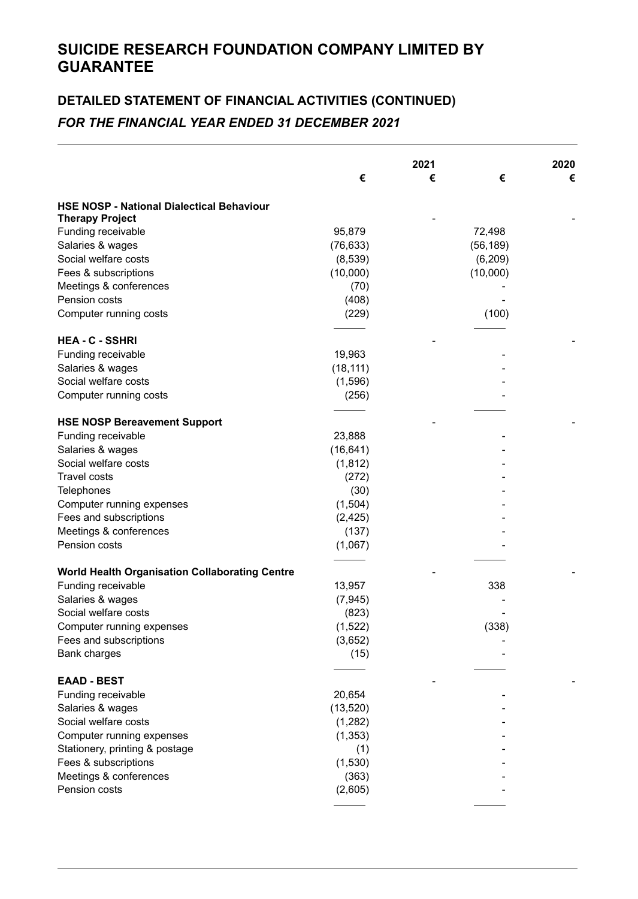# **DETAILED STATEMENT OF FINANCIAL ACTIVITIES (CONTINUED)** *FOR THE FINANCIAL YEAR ENDED 31 DECEMBER 2021*

|                                                       | 2021      |   |           | 2020 |
|-------------------------------------------------------|-----------|---|-----------|------|
|                                                       | €         | € | €         | €    |
| <b>HSE NOSP - National Dialectical Behaviour</b>      |           |   |           |      |
| <b>Therapy Project</b>                                |           |   |           |      |
| Funding receivable                                    | 95,879    |   | 72,498    |      |
| Salaries & wages                                      | (76, 633) |   | (56, 189) |      |
| Social welfare costs                                  | (8,539)   |   | (6, 209)  |      |
| Fees & subscriptions                                  | (10,000)  |   | (10,000)  |      |
| Meetings & conferences                                | (70)      |   |           |      |
| Pension costs                                         | (408)     |   |           |      |
| Computer running costs                                | (229)     |   | (100)     |      |
| <b>HEA - C - SSHRI</b>                                |           |   |           |      |
| Funding receivable                                    | 19,963    |   |           |      |
| Salaries & wages                                      | (18, 111) |   |           |      |
| Social welfare costs                                  | (1,596)   |   |           |      |
| Computer running costs                                | (256)     |   |           |      |
|                                                       |           |   |           |      |
| <b>HSE NOSP Bereavement Support</b>                   |           |   |           |      |
| Funding receivable                                    | 23,888    |   |           |      |
| Salaries & wages                                      | (16, 641) |   |           |      |
| Social welfare costs                                  | (1, 812)  |   |           |      |
| <b>Travel costs</b>                                   | (272)     |   |           |      |
| Telephones                                            | (30)      |   |           |      |
| Computer running expenses                             | (1,504)   |   |           |      |
| Fees and subscriptions                                | (2, 425)  |   |           |      |
| Meetings & conferences                                | (137)     |   |           |      |
| Pension costs                                         | (1,067)   |   |           |      |
| <b>World Health Organisation Collaborating Centre</b> |           |   |           |      |
| Funding receivable                                    | 13,957    |   | 338       |      |
| Salaries & wages                                      | (7, 945)  |   |           |      |
| Social welfare costs                                  | (823)     |   |           |      |
| Computer running expenses                             | (1,522)   |   | (338)     |      |
| Fees and subscriptions                                | (3,652)   |   |           |      |
| <b>Bank charges</b>                                   | (15)      |   |           |      |
| <b>EAAD - BEST</b>                                    |           |   |           |      |
| Funding receivable                                    | 20,654    |   |           |      |
| Salaries & wages                                      | (13, 520) |   |           |      |
| Social welfare costs                                  | (1, 282)  |   |           |      |
| Computer running expenses                             | (1, 353)  |   |           |      |
| Stationery, printing & postage                        | (1)       |   |           |      |
| Fees & subscriptions                                  | (1,530)   |   |           |      |
| Meetings & conferences                                | (363)     |   |           |      |
| Pension costs                                         | (2,605)   |   |           |      |
|                                                       |           |   |           |      |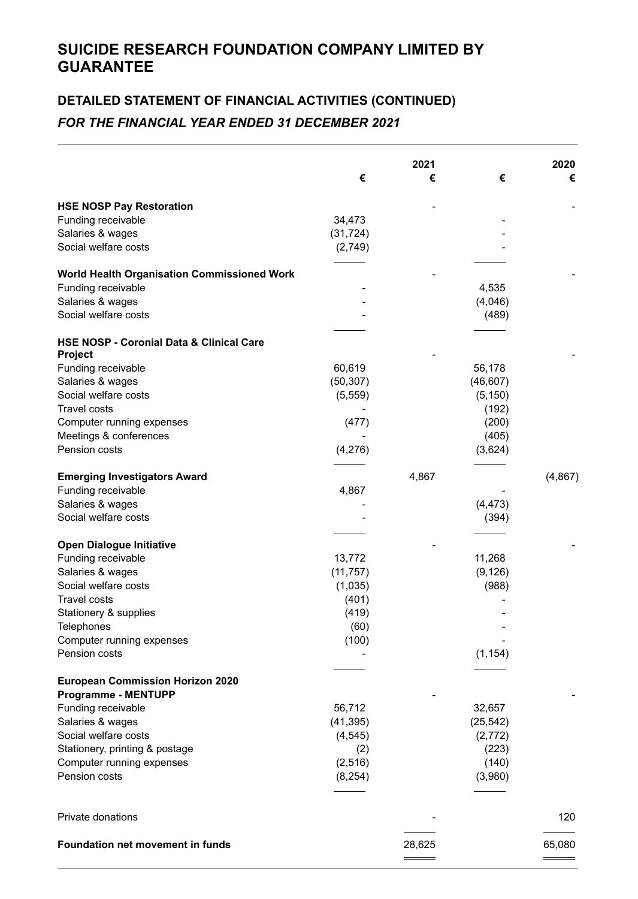# **DETAILED STATEMENT OF FINANCIAL ACTIVITIES (CONTINUED)** *FOR THE FINANCIAL YEAR ENDED 31 DECEMBER 2021*

|                                                                       | 2021      |        |           | 2020     |
|-----------------------------------------------------------------------|-----------|--------|-----------|----------|
|                                                                       | €         | €      | €         | €        |
| <b>HSE NOSP Pay Restoration</b>                                       |           |        |           |          |
| Funding receivable                                                    | 34,473    |        |           |          |
| Salaries & wages                                                      | (31, 724) |        |           |          |
| Social welfare costs                                                  | (2,749)   |        |           |          |
| <b>World Health Organisation Commissioned Work</b>                    |           |        |           |          |
| Funding receivable                                                    |           |        | 4,535     |          |
| Salaries & wages                                                      |           |        | (4,046)   |          |
| Social welfare costs                                                  |           |        | (489)     |          |
| HSE NOSP - Coronial Data & Clinical Care<br><b>Project</b>            |           |        |           |          |
| Funding receivable                                                    | 60,619    |        | 56,178    |          |
| Salaries & wages                                                      | (50, 307) |        | (46, 607) |          |
| Social welfare costs                                                  | (5, 559)  |        | (5, 150)  |          |
| <b>Travel costs</b>                                                   |           |        | (192)     |          |
| Computer running expenses                                             | (477)     |        | (200)     |          |
| Meetings & conferences                                                |           |        | (405)     |          |
| Pension costs                                                         | (4,276)   |        | (3,624)   |          |
| <b>Emerging Investigators Award</b>                                   |           | 4,867  |           | (4, 867) |
| Funding receivable                                                    | 4,867     |        |           |          |
| Salaries & wages                                                      |           |        | (4, 473)  |          |
| Social welfare costs                                                  |           |        | (394)     |          |
| <b>Open Dialogue Initiative</b>                                       |           |        |           |          |
| Funding receivable                                                    | 13,772    |        | 11,268    |          |
| Salaries & wages                                                      | (11, 757) |        | (9, 126)  |          |
| Social welfare costs                                                  | (1,035)   |        | (988)     |          |
| <b>Travel costs</b>                                                   | (401)     |        |           |          |
| Stationery & supplies                                                 | (419)     |        |           |          |
| Telephones                                                            | (60)      |        |           |          |
| Computer running expenses                                             | (100)     |        |           |          |
| Pension costs                                                         |           |        | (1, 154)  |          |
| <b>European Commission Horizon 2020</b><br><b>Programme - MENTUPP</b> |           |        |           |          |
| Funding receivable                                                    | 56,712    |        | 32,657    |          |
| Salaries & wages                                                      | (41, 395) |        | (25, 542) |          |
| Social welfare costs                                                  | (4, 545)  |        | (2,772)   |          |
| Stationery, printing & postage                                        | (2)       |        | (223)     |          |
| Computer running expenses                                             | (2, 516)  |        | (140)     |          |
| Pension costs                                                         | (8, 254)  |        | (3,980)   |          |
|                                                                       |           |        |           |          |
| Private donations                                                     |           |        |           | 120      |
| Foundation net movement in funds                                      |           | 28,625 |           | 65,080   |